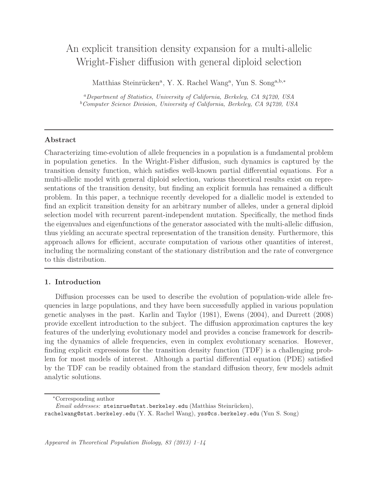# An explicit transition density expansion for a multi-allelic Wright-Fisher diffusion with general diploid selection

Matthias Steinrücken<sup>a</sup>, Y. X. Rachel Wang<sup>a</sup>, Yun S. Song<sup>a,b,\*</sup>

<sup>a</sup>Department of Statistics, University of California, Berkeley, CA 94720, USA  $b$ Computer Science Division, University of California, Berkeley, CA 94720, USA

# Abstract

Characterizing time-evolution of allele frequencies in a population is a fundamental problem in population genetics. In the Wright-Fisher diffusion, such dynamics is captured by the transition density function, which satisfies well-known partial differential equations. For a multi-allelic model with general diploid selection, various theoretical results exist on representations of the transition density, but finding an explicit formula has remained a difficult problem. In this paper, a technique recently developed for a diallelic model is extended to find an explicit transition density for an arbitrary number of alleles, under a general diploid selection model with recurrent parent-independent mutation. Specifically, the method finds the eigenvalues and eigenfunctions of the generator associated with the multi-allelic diffusion, thus yielding an accurate spectral representation of the transition density. Furthermore, this approach allows for efficient, accurate computation of various other quantities of interest, including the normalizing constant of the stationary distribution and the rate of convergence to this distribution.

# 1. Introduction

Diffusion processes can be used to describe the evolution of population-wide allele frequencies in large populations, and they have been successfully applied in various population genetic analyses in the past. Karlin and Taylor (1981), Ewens (2004), and Durrett (2008) provide excellent introduction to the subject. The diffusion approximation captures the key features of the underlying evolutionary model and provides a concise framework for describing the dynamics of allele frequencies, even in complex evolutionary scenarios. However, finding explicit expressions for the transition density function (TDF) is a challenging problem for most models of interest. Although a partial differential equation (PDE) satisfied by the TDF can be readily obtained from the standard diffusion theory, few models admit analytic solutions.

<sup>∗</sup>Corresponding author

Email addresses: steinrue@stat.berkeley.edu (Matthias Steinrücken),

rachelwang@stat.berkeley.edu (Y. X. Rachel Wang), yss@cs.berkeley.edu (Yun S. Song)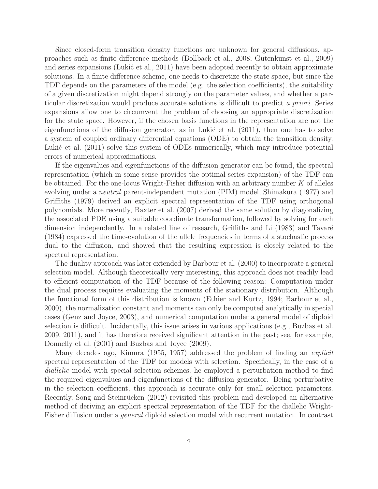Since closed-form transition density functions are unknown for general diffusions, approaches such as finite difference methods (Bollback et al., 2008; Gutenkunst et al., 2009) and series expansions (Lukić et al., 2011) have been adopted recently to obtain approximate solutions. In a finite difference scheme, one needs to discretize the state space, but since the TDF depends on the parameters of the model (e.g. the selection coefficients), the suitability of a given discretization might depend strongly on the parameter values, and whether a particular discretization would produce accurate solutions is difficult to predict a priori. Series expansions allow one to circumvent the problem of choosing an appropriate discretization for the state space. However, if the chosen basis functions in the representation are not the eigenfunctions of the diffusion generator, as in Lukić et al.  $(2011)$ , then one has to solve a system of coupled ordinary differential equations (ODE) to obtain the transition density. Lukić et al. (2011) solve this system of ODEs numerically, which may introduce potential errors of numerical approximations.

If the eigenvalues and eigenfunctions of the diffusion generator can be found, the spectral representation (which in some sense provides the optimal series expansion) of the TDF can be obtained. For the one-locus Wright-Fisher diffusion with an arbitrary number  $K$  of alleles evolving under a neutral parent-independent mutation (PIM) model, Shimakura (1977) and Griffiths (1979) derived an explicit spectral representation of the TDF using orthogonal polynomials. More recently, Baxter et al. (2007) derived the same solution by diagonalizing the associated PDE using a suitable coordinate transformation, followed by solving for each dimension independently. In a related line of research, Griffiths and Li (1983) and Tavaré (1984) expressed the time-evolution of the allele frequencies in terms of a stochastic process dual to the diffusion, and showed that the resulting expression is closely related to the spectral representation.

The duality approach was later extended by Barbour et al. (2000) to incorporate a general selection model. Although theoretically very interesting, this approach does not readily lead to efficient computation of the TDF because of the following reason: Computation under the dual process requires evaluating the moments of the stationary distribution. Although the functional form of this distribution is known (Ethier and Kurtz, 1994; Barbour et al., 2000), the normalization constant and moments can only be computed analytically in special cases (Genz and Joyce, 2003), and numerical computation under a general model of diploid selection is difficult. Incidentally, this issue arises in various applications (e.g., Buzbas et al. 2009, 2011), and it has therefore received significant attention in the past; see, for example, Donnelly et al. (2001) and Buzbas and Joyce (2009).

Many decades ago, Kimura (1955, 1957) addressed the problem of finding an *explicit* spectral representation of the TDF for models with selection. Specifically, in the case of a diallelic model with special selection schemes, he employed a perturbation method to find the required eigenvalues and eigenfunctions of the diffusion generator. Being perturbative in the selection coefficient, this approach is accurate only for small selection parameters. Recently, Song and Steinrücken (2012) revisited this problem and developed an alternative method of deriving an explicit spectral representation of the TDF for the diallelic Wright-Fisher diffusion under a general diploid selection model with recurrent mutation. In contrast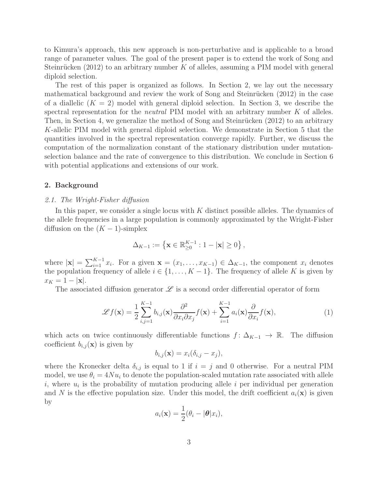to Kimura's approach, this new approach is non-perturbative and is applicable to a broad range of parameter values. The goal of the present paper is to extend the work of Song and Steinrücken (2012) to an arbitrary number  $K$  of alleles, assuming a PIM model with general diploid selection.

The rest of this paper is organized as follows. In Section 2, we lay out the necessary mathematical background and review the work of Song and Steinrücken (2012) in the case of a diallelic  $(K = 2)$  model with general diploid selection. In Section 3, we describe the spectral representation for the *neutral* PIM model with an arbitrary number  $K$  of alleles. Then, in Section 4, we generalize the method of Song and Steinrücken  $(2012)$  to an arbitrary K-allelic PIM model with general diploid selection. We demonstrate in Section 5 that the quantities involved in the spectral representation converge rapidly. Further, we discuss the computation of the normalization constant of the stationary distribution under mutationselection balance and the rate of convergence to this distribution. We conclude in Section 6 with potential applications and extensions of our work.

# 2. Background

#### 2.1. The Wright-Fisher diffusion

In this paper, we consider a single locus with K distinct possible alleles. The dynamics of the allele frequencies in a large population is commonly approximated by the Wright-Fisher diffusion on the  $(K-1)$ -simplex

$$
\Delta_{K-1} := \left\{ \mathbf{x} \in \mathbb{R}_{\geq 0}^{K-1} : 1 - |\mathbf{x}| \geq 0 \right\},\
$$

where  $|\mathbf{x}| = \sum_{i=1}^{K-1} x_i$ . For a given  $\mathbf{x} = (x_1, \ldots, x_{K-1}) \in \Delta_{K-1}$ , the component  $x_i$  denotes the population frequency of allele  $i \in \{1, \ldots, K-1\}$ . The frequency of allele K is given by  $x_K = 1 - |\mathbf{x}|.$ 

The associated diffusion generator  $\mathscr L$  is a second order differential operator of form

$$
\mathscr{L}f(\mathbf{x}) = \frac{1}{2} \sum_{i,j=1}^{K-1} b_{i,j}(\mathbf{x}) \frac{\partial^2}{\partial x_i \partial x_j} f(\mathbf{x}) + \sum_{i=1}^{K-1} a_i(\mathbf{x}) \frac{\partial}{\partial x_i} f(\mathbf{x}), \tag{1}
$$

which acts on twice continuously differentiable functions  $f: \Delta_{K-1} \to \mathbb{R}$ . The diffusion coefficient  $b_{i,j}(\mathbf{x})$  is given by

$$
b_{i,j}(\mathbf{x}) = x_i(\delta_{i,j} - x_j),
$$

where the Kronecker delta  $\delta_{i,j}$  is equal to 1 if  $i = j$  and 0 otherwise. For a neutral PIM model, we use  $\theta_i = 4Nu_i$  to denote the population-scaled mutation rate associated with allele i, where  $u_i$  is the probability of mutation producing allele i per individual per generation and N is the effective population size. Under this model, the drift coefficient  $a_i(\mathbf{x})$  is given by

$$
a_i(\mathbf{x}) = \frac{1}{2}(\theta_i - |\boldsymbol{\theta}|x_i),
$$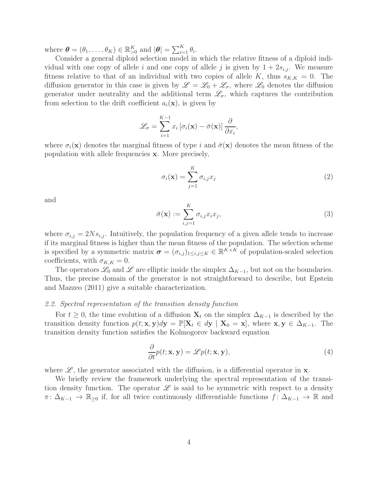where  $\boldsymbol{\theta} = (\theta_1, \dots, \theta_K) \in \mathbb{R}_{>0}^K$  and  $|\boldsymbol{\theta}| = \sum_{i=1}^K \theta_i$ .

Consider a general diploid selection model in which the relative fitness of a diploid individual with one copy of allele i and one copy of allele j is given by  $1 + 2s_{i,j}$ . We measure fitness relative to that of an individual with two copies of allele K, thus  $s_{K,K} = 0$ . The diffusion generator in this case is given by  $\mathscr{L} = \mathscr{L}_0 + \mathscr{L}_{\sigma}$ , where  $\mathscr{L}_0$  denotes the diffusion generator under neutrality and the additional term  $\mathscr{L}_{\sigma}$ , which captures the contribution from selection to the drift coefficient  $a_i(\mathbf{x})$ , is given by

$$
\mathcal{L}_{\sigma} = \sum_{i=1}^{K-1} x_i \left[ \sigma_i(\mathbf{x}) - \bar{\sigma}(\mathbf{x}) \right] \frac{\partial}{\partial x_i},
$$

where  $\sigma_i(\mathbf{x})$  denotes the marginal fitness of type i and  $\bar{\sigma}(\mathbf{x})$  denotes the mean fitness of the population with allele frequencies x. More precisely,

$$
\sigma_i(\mathbf{x}) = \sum_{j=1}^K \sigma_{i,j} x_j \tag{2}
$$

and

$$
\bar{\sigma}(\mathbf{x}) := \sum_{i,j=1}^{K} \sigma_{i,j} x_i x_j,
$$
\n(3)

where  $\sigma_{i,j} = 2Ns_{i,j}$ . Intuitively, the population frequency of a given allele tends to increase if its marginal fitness is higher than the mean fitness of the population. The selection scheme is specified by a symmetric matrix  $\boldsymbol{\sigma} = (\sigma_{i,j})_{1 \leq i,j \leq K} \in \mathbb{R}^{K \times K}$  of population-scaled selection coefficients, with  $\sigma_{K,K} = 0$ .

The operators  $\mathscr{L}_0$  and  $\mathscr{L}$  are elliptic inside the simplex  $\Delta_{K-1}$ , but not on the boundaries. Thus, the precise domain of the generator is not straightforward to describe, but Epstein and Mazzeo (2011) give a suitable characterization.

#### 2.2. Spectral representation of the transition density function

For  $t \geq 0$ , the time evolution of a diffusion  $\mathbf{X}_t$  on the simplex  $\Delta_{K-1}$  is described by the transition density function  $p(t; \mathbf{x}, \mathbf{y})d\mathbf{y} = \mathbb{P}[\mathbf{X}_t \in d\mathbf{y} \mid \mathbf{X}_0 = \mathbf{x}]$ , where  $\mathbf{x}, \mathbf{y} \in \Delta_{K-1}$ . The transition density function satisfies the Kolmogorov backward equation

$$
\frac{\partial}{\partial t}p(t; \mathbf{x}, \mathbf{y}) = \mathscr{L}p(t; \mathbf{x}, \mathbf{y}),\tag{4}
$$

where  $\mathscr{L}$ , the generator associated with the diffusion, is a differential operator in **x**.

We briefly review the framework underlying the spectral representation of the transition density function. The operator  $\mathscr L$  is said to be symmetric with respect to a density  $\pi: \Delta_{K-1} \to \mathbb{R}_{\geq 0}$  if, for all twice continuously differentiable functions  $f: \Delta_{K-1} \to \mathbb{R}$  and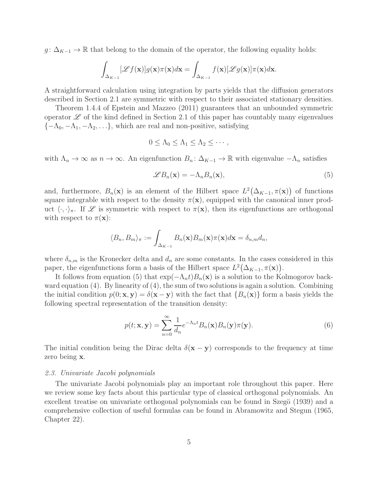$g: \Delta_{K-1} \to \mathbb{R}$  that belong to the domain of the operator, the following equality holds:

$$
\int_{\Delta_{K-1}} [\mathscr{L}f(\mathbf{x})] g(\mathbf{x}) \pi(\mathbf{x}) d\mathbf{x} = \int_{\Delta_{K-1}} f(\mathbf{x}) [\mathscr{L}g(\mathbf{x})] \pi(\mathbf{x}) d\mathbf{x}.
$$

A straightforward calculation using integration by parts yields that the diffusion generators described in Section 2.1 are symmetric with respect to their associated stationary densities.

Theorem 1.4.4 of Epstein and Mazzeo (2011) guarantees that an unbounded symmetric operator  $\mathscr L$  of the kind defined in Section 2.1 of this paper has countably many eigenvalues  ${-\Lambda_0, -\Lambda_1, -\Lambda_2, \ldots}$ , which are real and non-positive, satisfying

$$
0 \leq \Lambda_0 \leq \Lambda_1 \leq \Lambda_2 \leq \cdots,
$$

with  $\Lambda_n \to \infty$  as  $n \to \infty$ . An eigenfunction  $B_n: \Delta_{K-1} \to \mathbb{R}$  with eigenvalue  $-\Lambda_n$  satisfies

$$
\mathscr{L}B_n(\mathbf{x}) = -\Lambda_n B_n(\mathbf{x}),\tag{5}
$$

and, furthermore,  $B_n(\mathbf{x})$  is an element of the Hilbert space  $L^2(\Delta_{K-1}, \pi(\mathbf{x}))$  of functions square integrable with respect to the density  $\pi(\mathbf{x})$ , equipped with the canonical inner product  $\langle \cdot, \cdot \rangle_{\pi}$ . If  $\mathscr L$  is symmetric with respect to  $\pi(\mathbf{x})$ , then its eigenfunctions are orthogonal with respect to  $\pi(\mathbf{x})$ :

$$
\langle B_n, B_m \rangle_{\pi} := \int_{\Delta_{K-1}} B_n(\mathbf{x}) B_m(\mathbf{x}) \pi(\mathbf{x}) d\mathbf{x} = \delta_{n,m} d_n,
$$

where  $\delta_{n,m}$  is the Kronecker delta and  $d_n$  are some constants. In the cases considered in this paper, the eigenfunctions form a basis of the Hilbert space  $L^2(\Delta_{K-1}, \pi(\mathbf{x}))$ .

It follows from equation (5) that  $\exp(-\Lambda_n t)B_n(\mathbf{x})$  is a solution to the Kolmogorov backward equation (4). By linearity of (4), the sum of two solutions is again a solution. Combining the initial condition  $p(0; x, y) = \delta(x - y)$  with the fact that  ${B_n(x)}$  form a basis yields the following spectral representation of the transition density:

$$
p(t; \mathbf{x}, \mathbf{y}) = \sum_{n=0}^{\infty} \frac{1}{d_n} e^{-\Lambda_n t} B_n(\mathbf{x}) B_n(\mathbf{y}) \pi(\mathbf{y}).
$$
\n(6)

The initial condition being the Dirac delta  $\delta(\mathbf{x} - \mathbf{y})$  corresponds to the frequency at time zero being x.

## 2.3. Univariate Jacobi polynomials

The univariate Jacobi polynomials play an important role throughout this paper. Here we review some key facts about this particular type of classical orthogonal polynomials. An excellent treatise on univariate orthogonal polynomials can be found in Szegö (1939) and a comprehensive collection of useful formulas can be found in Abramowitz and Stegun (1965, Chapter 22).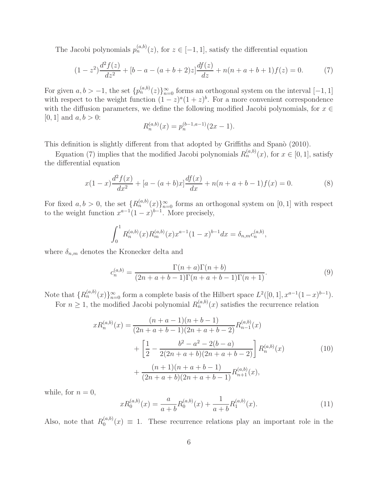The Jacobi polynomials  $p_n^{(a,b)}(z)$ , for  $z \in [-1,1]$ , satisfy the differential equation

$$
(1-z^2)\frac{d^2f(z)}{dz^2} + [b-a - (a+b+2)z] \frac{df(z)}{dz} + n(n+a+b+1)f(z) = 0.
$$
 (7)

For given  $a, b > -1$ , the set  $\{p_n^{(a,b)}(z)\}_{n=0}^{\infty}$  forms an orthogonal system on the interval  $[-1, 1]$ with respect to the weight function  $(1-z)^{a}(1+z)^{b}$ . For a more convenient correspondence with the diffusion parameters, we define the following modified Jacobi polynomials, for  $x \in$  $[0, 1]$  and  $a, b > 0$ :

$$
R_n^{(a,b)}(x) = p_n^{(b-1,a-1)}(2x-1).
$$

This definition is slightly different from that adopted by Griffiths and Spano (2010).

Equation (7) implies that the modified Jacobi polynomials  $R_n^{(a,b)}(x)$ , for  $x \in [0,1]$ , satisfy the differential equation

$$
x(1-x)\frac{d^2f(x)}{dx^2} + [a - (a+b)x]\frac{df(x)}{dx} + n(n+a+b-1)f(x) = 0.
$$
 (8)

For fixed  $a, b > 0$ , the set  ${R_n^{(a,b)}(x)}_{n=0}^{\infty}$  forms an orthogonal system on [0, 1] with respect to the weight function  $x^{a-1}(1-x)^{b-1}$ . More precisely,

$$
\int_0^1 R_n^{(a,b)}(x) R_m^{(a,b)}(x) x^{a-1} (1-x)^{b-1} dx = \delta_{n,m} c_n^{(a,b)},
$$

where  $\delta_{n,m}$  denotes the Kronecker delta and

$$
c_n^{(a,b)} = \frac{\Gamma(n+a)\Gamma(n+b)}{(2n+a+b-1)\Gamma(n+a+b-1)\Gamma(n+1)}.\tag{9}
$$

Note that  $\{R_n^{(a,b)}(x)\}_{n=0}^{\infty}$  form a complete basis of the Hilbert space  $L^2([0,1], x^{a-1}(1-x)^{b-1})$ . For  $n \geq 1$ , the modified Jacobi polynomial  $R_n^{(a,b)}(x)$  satisfies the recurrence relation

$$
xR_n^{(a,b)}(x) = \frac{(n+a-1)(n+b-1)}{(2n+a+b-1)(2n+a+b-2)} R_{n-1}^{(a,b)}(x)
$$
  
+ 
$$
\left[\frac{1}{2} - \frac{b^2 - a^2 - 2(b-a)}{2(2n+a+b)(2n+a+b-2)}\right] R_n^{(a,b)}(x)
$$
  
+ 
$$
\frac{(n+1)(n+a+b-1)}{(2n+a+b)(2n+a+b-1)} R_{n+1}^{(a,b)}(x),
$$
 (10)

while, for  $n = 0$ ,

$$
xR_0^{(a,b)}(x) = \frac{a}{a+b}R_0^{(a,b)}(x) + \frac{1}{a+b}R_1^{(a,b)}(x).
$$
\n(11)

Also, note that  $R_0^{(a,b)}$  $\binom{a, o}{0}(x) \equiv 1$ . These recurrence relations play an important role in the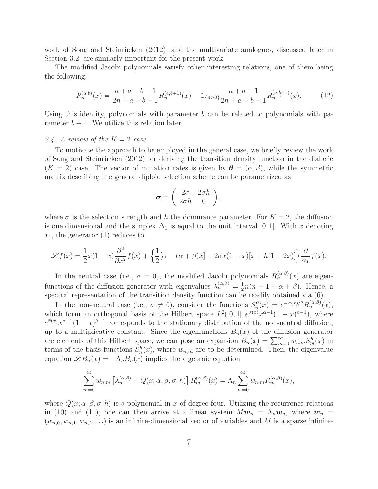work of Song and Steinrücken (2012), and the multivariate analogues, discussed later in Section 3.2, are similarly important for the present work.

The modified Jacobi polynomials satisfy other interesting relations, one of them being the following:

$$
R_n^{(a,b)}(x) = \frac{n+a+b-1}{2n+a+b-1} R_n^{(a,b+1)}(x) - \mathbb{1}_{\{n>0\}} \frac{n+a-1}{2n+a+b-1} R_{n-1}^{(a,b+1)}(x).
$$
 (12)

Using this identity, polynomials with parameter  $b$  can be related to polynomials with parameter  $b + 1$ . We utilize this relation later.

## 2.4. A review of the  $K = 2$  case

To motivate the approach to be employed in the general case, we briefly review the work of Song and Steinrücken  $(2012)$  for deriving the transition density function in the diallelic  $(K = 2)$  case. The vector of mutation rates is given by  $\boldsymbol{\theta} = (\alpha, \beta)$ , while the symmetric matrix describing the general diploid selection scheme can be parametrized as

$$
\boldsymbol{\sigma} = \left( \begin{array}{cc} 2\sigma & 2\sigma h \\ 2\sigma h & 0 \end{array} \right),
$$

where  $\sigma$  is the selection strength and h the dominance parameter. For  $K = 2$ , the diffusion is one dimensional and the simplex  $\Delta_1$  is equal to the unit interval [0, 1]. With x denoting  $x_1$ , the generator (1) reduces to

$$
\mathscr{L}f(x) = \frac{1}{2}x(1-x)\frac{\partial^2}{\partial x^2}f(x) + \left\{\frac{1}{2}[\alpha - (\alpha+\beta)x] + 2\sigma x(1-x)[x+h(1-2x)]\right\}\frac{\partial}{\partial x}f(x).
$$

In the neutral case (i.e.,  $\sigma = 0$ ), the modified Jacobi polynomials  $R_n^{(\alpha,\beta)}(x)$  are eigenfunctions of the diffusion generator with eigenvalues  $\lambda_n^{(\alpha,\beta)} = \frac{1}{2}$  $\frac{1}{2}n(n-1+\alpha+\beta)$ . Hence, a spectral representation of the transition density function can be readily obtained via (6).

In the non-neutral case (i.e.,  $\sigma \neq 0$ ), consider the functions  $S_n^{\theta}$  $n_{n}^{\theta}(x) = e^{-\bar{\sigma}(x)/2} R_{n}^{(\alpha,\beta)}(x),$ which form an orthogonal basis of the Hilbert space  $L^2([0,1], e^{\bar{\sigma}(x)} x^{\alpha-1}(1-x)^{\beta-1})$ , where  $e^{\bar{\sigma}(x)}x^{\alpha-1}(1-x)^{\beta-1}$  corresponds to the stationary distribution of the non-neutral diffusion, up to a multiplicative constant. Since the eigenfunctions  $B_n(x)$  of the diffusion generator are elements of this Hilbert space, we can pose an expansion  $B_n(x) = \sum_{m=0}^{\infty} w_{n,m} S_m^{\theta}(x)$  in terms of the basis functions  $\tilde{S}_n^{\theta}$  $_n^{\theta}(x)$ , where  $w_{n,m}$  are to be determined. Then, the eigenvalue equation  $\mathscr{L}B_n(x) = -\Lambda_n B_n(x)$  implies the algebraic equation

$$
\sum_{m=0}^{\infty} w_{n,m} \left[ \lambda_m^{(\alpha,\beta)} + Q(x;\alpha,\beta,\sigma,h) \right] R_m^{(\alpha,\beta)}(x) = \Lambda_n \sum_{m=0}^{\infty} w_{n,m} R_m^{(\alpha,\beta)}(x),
$$

where  $Q(x; \alpha, \beta, \sigma, h)$  is a polynomial in x of degree four. Utilizing the recurrence relations in (10) and (11), one can then arrive at a linear system  $M\mathbf{w}_n = \Lambda_n \mathbf{w}_n$ , where  $\mathbf{w}_n =$  $(w_{n,0}, w_{n,1}, w_{n,2}, \ldots)$  is an infinite-dimensional vector of variables and M is a sparse infinite-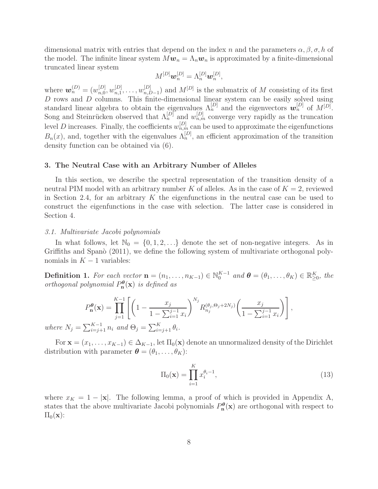dimensional matrix with entries that depend on the index n and the parameters  $\alpha, \beta, \sigma, h$  of the model. The infinite linear system  $M\mathbf{w}_n = \Lambda_n \mathbf{w}_n$  is approximated by a finite-dimensional truncated linear system

$$
M^{[D]}\boldsymbol{w}_n^{[D]} = \Lambda_n^{[D]}\boldsymbol{w}_n^{[D]},
$$

where  $w_n^{(D)} = (w_{n,0}^{[D]})$  ${}_{n,0}^{[D]}, w_{n,1}^{[D]}$  $_{n,1}^{[D]},\ldots,w_{n,L}^{[D]}$  $_{n,D-1}^{[D]}$  and  $M^{[D]}$  is the submatrix of M consisting of its first D rows and D columns. This finite-dimensional linear system can be easily solved using standard linear algebra to obtain the eigenvalues  $\Lambda_n^{[D]}$  and the eigenvectors  $w_n^{[D]}$  of  $M^{[D]}$ . Song and Steinrücken observed that  $\Lambda_n^{[D]}$  and  $w_{n,m}^{[D]}$  converge very rapidly as the truncation level D increases. Finally, the coefficients  $w_{n,m}^{[D]}$  can be used to approximate the eigenfunctions  $B_n(x)$ , and, together with the eigenvalues  $\Lambda_n^{[D]}$ , an efficient approximation of the transition density function can be obtained via (6).

#### 3. The Neutral Case with an Arbitrary Number of Alleles

In this section, we describe the spectral representation of the transition density of a neutral PIM model with an arbitrary number K of alleles. As in the case of  $K = 2$ , reviewed in Section 2.4, for an arbitrary  $K$  the eigenfunctions in the neutral case can be used to construct the eigenfunctions in the case with selection. The latter case is considered in Section 4.

#### 3.1. Multivariate Jacobi polynomials

In what follows, let  $\mathbb{N}_0 = \{0, 1, 2, \ldots\}$  denote the set of non-negative integers. As in Griffiths and Spanò (2011), we define the following system of multivariate orthogonal polynomials in  $K - 1$  variables:

**Definition 1.** For each vector  $\mathbf{n} = (n_1, \ldots, n_{K-1}) \in \mathbb{N}_0^{K-1}$  and  $\boldsymbol{\theta} = (\theta_1, \ldots, \theta_K) \in \mathbb{R}_{\geq 0}^K$ , the orthogonal polynomial  $P_{\mathbf{n}}^{\theta}(\mathbf{x})$  is defined as

$$
P_{\mathbf{n}}^{\theta}(\mathbf{x}) = \prod_{j=1}^{K-1} \left[ \left( 1 - \frac{x_j}{1 - \sum_{i=1}^{j-1} x_i} \right)^{N_j} R_{n_j}^{(\theta_j, \Theta_j + 2N_j)} \left( \frac{x_j}{1 - \sum_{i=1}^{j-1} x_i} \right) \right],
$$
  

$$
\sum_{i=1}^{K-1} n_i \text{ and } \Theta_i = \sum_{i=1}^{K} \Theta_i
$$

where  $N_j = \sum_{i=j+1}^{K-1} n_i$  and  $\Theta_j = \sum_{i=j+1}^{K} \theta_i$ .

For  $\mathbf{x} = (x_1, \ldots, x_{K-1}) \in \Delta_{K-1}$ , let  $\Pi_0(\mathbf{x})$  denote an unnormalized density of the Dirichlet distribution with parameter  $\boldsymbol{\theta} = (\theta_1, \dots, \theta_K)$ :

$$
\Pi_0(\mathbf{x}) = \prod_{i=1}^K x_i^{\theta_i - 1},\tag{13}
$$

where  $x_K = 1 - |\mathbf{x}|$ . The following lemma, a proof of which is provided in Appendix A, states that the above multivariate Jacobi polynomials  $P_{n}^{\theta}(x)$  are orthogonal with respect to  $\Pi_0(\mathbf{x})$ :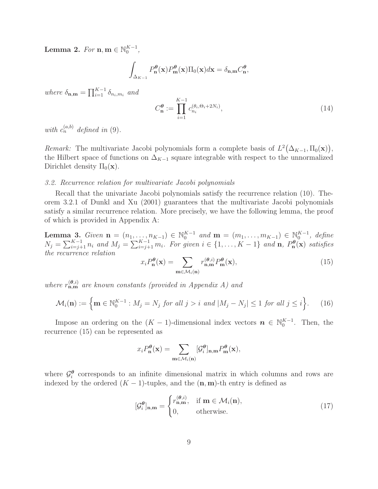Lemma 2. For  $\mathbf{n}, \mathbf{m} \in \mathbb{N}_0^{K-1}$ ,

$$
\int_{\Delta_{K-1}} P_{\mathbf{n}}^{\theta}(\mathbf{x}) P_{\mathbf{m}}^{\theta}(\mathbf{x}) \Pi_{0}(\mathbf{x}) d\mathbf{x} = \delta_{\mathbf{n},\mathbf{m}} C_{\mathbf{n}}^{\theta},
$$

where  $\delta_{\mathbf{n},\mathbf{m}} = \prod_{i=1}^{K-1} \delta_{n_i,m_i}$  and

$$
C_{\mathbf{n}}^{\theta} := \prod_{i=1}^{K-1} c_{n_i}^{(\theta_i, \Theta_i + 2N_i)},\tag{14}
$$

with  $c_n^{(a,b)}$  defined in (9).

Remark: The multivariate Jacobi polynomials form a complete basis of  $L^2(\Delta_{K-1}, \Pi_0(\mathbf{x})),$ the Hilbert space of functions on  $\Delta_{K-1}$  square integrable with respect to the unnormalized Dirichlet density  $\Pi_0(\mathbf{x})$ .

# 3.2. Recurrence relation for multivariate Jacobi polynomials

Recall that the univariate Jacobi polynomials satisfy the recurrence relation (10). Theorem 3.2.1 of Dunkl and Xu (2001) guarantees that the multivariate Jacobi polynomials satisfy a similar recurrence relation. More precisely, we have the following lemma, the proof of which is provided in Appendix A:

**Lemma 3.** Given  $\mathbf{n} = (n_1, ..., n_{K-1}) \in \mathbb{N}_0^{K-1}$  and  $\mathbf{m} = (m_1, ..., m_{K-1}) \in \mathbb{N}_0^{K-1}$ , define  $N_j = \sum_{i=j+1}^{K-1} n_i$  and  $M_j = \sum_{i=j+1}^{K-1} m_i$ . For given  $i \in \{1, ..., K-1\}$  and  $\mathbf{n}, P_{\mathbf{n}}^{\boldsymbol{\theta}}(\mathbf{x})$  satisfies the recurrence relation

$$
x_i P_n^{\theta}(\mathbf{x}) = \sum_{\mathbf{m} \in \mathcal{M}_i(\mathbf{n})} r_{\mathbf{n},\mathbf{m}}^{(\theta,i)} P_m^{\theta}(\mathbf{x}),\tag{15}
$$

where  $r_{\mathbf{n},\mathbf{m}}^{(\theta,i)}$  are known constants (provided in Appendix A) and

$$
\mathcal{M}_i(\mathbf{n}) := \left\{ \mathbf{m} \in \mathbb{N}_0^{K-1} : M_j = N_j \text{ for all } j > i \text{ and } |M_j - N_j| \le 1 \text{ for all } j \le i \right\}. \tag{16}
$$

Impose an ordering on the  $(K-1)$ -dimensional index vectors  $n \in \mathbb{N}_0^{K-1}$ . Then, the recurrence (15) can be represented as

$$
x_i P_n^{\theta}(\mathbf{x}) = \sum_{\mathbf{m} \in \mathcal{M}_i(\mathbf{n})} [\mathcal{G}_i^{\theta}]_{\mathbf{n},\mathbf{m}} P_{\mathbf{m}}^{\theta}(\mathbf{x}),
$$

where  $\mathcal{G}_i^{\theta}$  $\frac{\theta}{i}$  corresponds to an infinite dimensional matrix in which columns and rows are indexed by the ordered  $(K - 1)$ -tuples, and the  $(n, m)$ -th entry is defined as

$$
[\mathcal{G}_i^{\theta}]_{\mathbf{n},\mathbf{m}} = \begin{cases} r_{\mathbf{n},\mathbf{m}}^{(\theta,i)}, & \text{if } \mathbf{m} \in \mathcal{M}_i(\mathbf{n}), \\ 0, & \text{otherwise.} \end{cases}
$$
(17)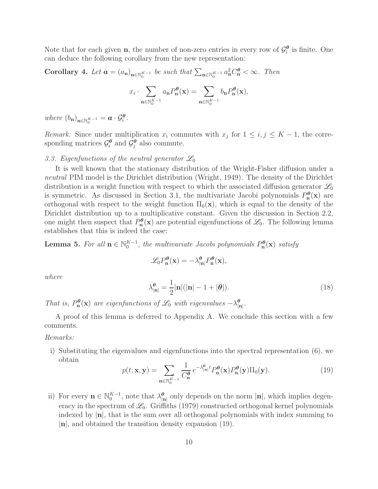Note that for each given **n**, the number of non-zero entries in every row of  $\mathcal{G}_i^{\theta}$  $\frac{\theta}{i}$  is finite. One can deduce the following corollary from the new representation:

Corollary 4. Let  $\boldsymbol{a} = (a_{\mathbf{n}})_{\mathbf{n} \in \mathbb{N}_0^{K-1}}$  be such that  $\sum_{\mathbf{n} \in \mathbb{N}_0^{K-1}} a_{\mathbf{n}}^2 C_{\mathbf{n}}^{\theta} < \infty$ . Then

$$
x_i \cdot \sum_{\mathbf{n} \in \mathbb{N}_0^{K-1}} a_{\mathbf{n}} P_{\mathbf{n}}^{\theta}(\mathbf{x}) = \sum_{\mathbf{n} \in \mathbb{N}_0^{K-1}} b_{\mathbf{n}} P_{\mathbf{n}}^{\theta}(\mathbf{x}),
$$

where  $(b_n)_{n \in \mathbb{N}_0^{K-1}} = \boldsymbol{a} \cdot \mathcal{G}_i^{\boldsymbol{\theta}}$ .

*Remark:* Since under multiplication  $x_i$  commutes with  $x_j$  for  $1 \leq i, j \leq K-1$ , the corresponding matrices  $\mathcal{G}_i^{\theta}$  $\overline{\mathcal{G}}_i^{\boldsymbol{\theta}}$  and  $\overline{\mathcal{G}}_j^{\boldsymbol{\theta}}$  $_{j}^{\theta}$  also commute.

# 3.3. Eigenfunctions of the neutral generator  $\mathscr{L}_0$

It is well known that the stationary distribution of the Wright-Fisher diffusion under a neutral PIM model is the Dirichlet distribution (Wright, 1949). The density of the Dirichlet distribution is a weight function with respect to which the associated diffusion generator  $\mathscr{L}_0$ is symmetric. As discussed in Section 3.1, the multivariate Jacobi polynomials  $P_n^{\theta}(\mathbf{x})$  are orthogonal with respect to the weight function  $\Pi_0(\mathbf{x})$ , which is equal to the density of the Dirichlet distribution up to a multiplicative constant. Given the discussion in Section 2.2, one might then suspect that  $P_n^{\theta}(\mathbf{x})$  are potential eigenfunctions of  $\mathscr{L}_0$ . The following lemma establishes that this is indeed the case:

**Lemma 5.** For all  $\mathbf{n} \in \mathbb{N}_0^{K-1}$ , the multivariate Jacobi polynomials  $P_{\mathbf{n}}^{\theta}(\mathbf{x})$  satisfy

$$
\mathcal{L}_0 P_{\mathbf{n}}^{\theta}(\mathbf{x}) = -\lambda_{|\mathbf{n}|}^{\theta} P_{\mathbf{n}}^{\theta}(\mathbf{x}),
$$

where

$$
\lambda_{|\mathbf{n}|}^{\theta} = \frac{1}{2} |\mathbf{n}| (|\mathbf{n}| - 1 + |\theta|). \tag{18}
$$

That is,  $P_n^{\theta}(\mathbf{x})$  are eigenfunctions of  $\mathcal{L}_0$  with eigenvalues  $-\lambda_{|\mathbf{n}|}^{\theta}$ .

A proof of this lemma is deferred to Appendix A. We conclude this section with a few comments.

Remarks:

i) Substituting the eigenvalues and eigenfunctions into the spectral representation (6), we obtain

$$
p(t; \mathbf{x}, \mathbf{y}) = \sum_{\mathbf{n} \in \mathbb{N}_0^{K-1}} \frac{1}{C_{\mathbf{n}}^{\theta}} e^{-\lambda_{|\mathbf{n}|}^{\theta} t} P_{\mathbf{n}}^{\theta}(\mathbf{x}) P_{\mathbf{n}}^{\theta}(\mathbf{y}) \Pi_0(\mathbf{y}).
$$
 (19)

ii) For every  $\mathbf{n} \in \mathbb{N}_0^{K-1}$ , note that  $\lambda_{|\mathbf{n}|}^{\boldsymbol{\theta}}$  only depends on the norm  $|\mathbf{n}|$ , which implies degeneracy in the spectrum of  $\mathcal{L}_0$ . Griffiths (1979) constructed orthogonal kernel polynomials indexed by  $|n|$ , that is the sum over all orthogonal polynomials with index summing to  $|n|$ , and obtained the transition density expansion (19).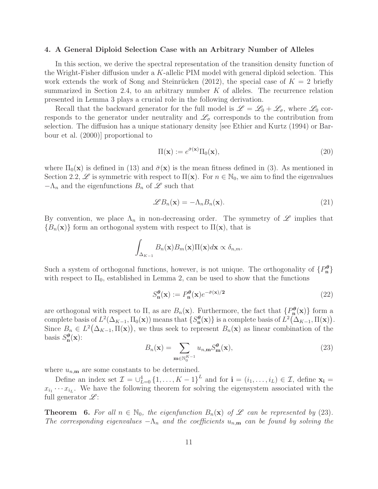#### 4. A General Diploid Selection Case with an Arbitrary Number of Alleles

In this section, we derive the spectral representation of the transition density function of the Wright-Fisher diffusion under a K-allelic PIM model with general diploid selection. This work extends the work of Song and Steinrücken (2012), the special case of  $K = 2$  briefly summarized in Section 2.4, to an arbitrary number  $K$  of alleles. The recurrence relation presented in Lemma 3 plays a crucial role in the following derivation.

Recall that the backward generator for the full model is  $\mathscr{L} = \mathscr{L}_0 + \mathscr{L}_{\sigma}$ , where  $\mathscr{L}_0$  corresponds to the generator under neutrality and  $\mathscr{L}_{\sigma}$  corresponds to the contribution from selection. The diffusion has a unique stationary density [see Ethier and Kurtz (1994) or Barbour et al. (2000)] proportional to

$$
\Pi(\mathbf{x}) := e^{\bar{\sigma}(\mathbf{x})} \Pi_0(\mathbf{x}),\tag{20}
$$

where  $\Pi_0(\mathbf{x})$  is defined in (13) and  $\bar{\sigma}(\mathbf{x})$  is the mean fitness defined in (3). As mentioned in Section 2.2,  $\mathscr L$  is symmetric with respect to  $\Pi(\mathbf{x})$ . For  $n \in \mathbb N_0$ , we aim to find the eigenvalues  $-\Lambda_n$  and the eigenfunctions  $B_n$  of  $\mathscr L$  such that

$$
\mathscr{L}B_n(\mathbf{x}) = -\Lambda_n B_n(\mathbf{x}).\tag{21}
$$

By convention, we place  $\Lambda_n$  in non-decreasing order. The symmetry of  $\mathscr L$  implies that  ${B_n(\mathbf{x})}$  form an orthogonal system with respect to  $\Pi(\mathbf{x})$ , that is

$$
\int_{\Delta_{K-1}} B_n(\mathbf{x}) B_m(\mathbf{x}) \Pi(\mathbf{x}) d\mathbf{x} \propto \delta_{n,m}.
$$

Such a system of orthogonal functions, however, is not unique. The orthogonality of  $\{P_n^{\theta}\}\$ with respect to  $\Pi_0$ , established in Lemma 2, can be used to show that the functions

$$
S_{\mathbf{n}}^{\theta}(\mathbf{x}) := P_{\mathbf{n}}^{\theta}(\mathbf{x})e^{-\bar{\sigma}(\mathbf{x})/2}
$$
\n(22)

are orthogonal with respect to  $\Pi$ , as are  $B_n(\mathbf{x})$ . Furthermore, the fact that  $\{P_n^{\theta}(\mathbf{x})\}$  form a complete basis of  $L^2(\Delta_{K-1}, \Pi_0(\mathbf{x}))$  means that  $\{S_n^{\theta}(\mathbf{x})\}$  is a complete basis of  $L^2(\Delta_{K-1}, \Pi(\mathbf{x}))$ . Since  $B_n \in L^2(\Delta_{K-1}, \Pi(\mathbf{x}))$ , we thus seek to represent  $B_n(\mathbf{x})$  as linear combination of the basis  $S_{\mathbf{n}}^{\theta}(\mathbf{x})$ :

$$
B_n(\mathbf{x}) = \sum_{\mathbf{m} \in \mathbb{N}_0^{K-1}} u_{n,\mathbf{m}} S_{\mathbf{m}}^{\theta}(\mathbf{x}),
$$
\n(23)

where  $u_{n,m}$  are some constants to be determined.

Define an index set  $\mathcal{I} = \bigcup_{L=0}^{4} \{1, \ldots, K-1\}^{L}$  and for  $\mathbf{i} = (i_1, \ldots, i_L) \in \mathcal{I}$ , define  $\mathbf{x_i} =$  $x_{i_1} \cdots x_{i_L}$ . We have the following theorem for solving the eigensystem associated with the full generator  $\mathscr{L}$ :

**Theorem 6.** For all  $n \in \mathbb{N}_0$ , the eigenfunction  $B_n(\mathbf{x})$  of  $\mathcal{L}$  can be represented by (23). The corresponding eigenvalues  $-\Lambda_n$  and the coefficients  $u_{n,m}$  can be found by solving the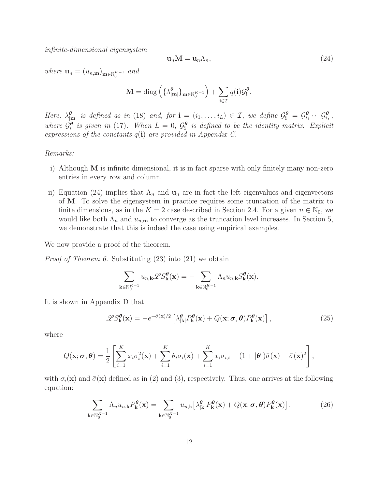infinite-dimensional eigensystem

$$
\mathbf{u}_n \mathbf{M} = \mathbf{u}_n \Lambda_n,\tag{24}
$$

where  $\mathbf{u}_n = (u_{n,\mathbf{m}})_{\mathbf{m} \in \mathbb{N}_0^{K-1}}$  and

$$
\mathbf{M} = \mathrm{diag}\left(\{\lambda_{|\mathbf{m}|}^{\boldsymbol{\theta}}\}_{\mathbf{m}\in\mathbb{N}_{0}^{K-1}}\right) + \sum_{\mathbf{i}\in\mathcal{I}}q(\mathbf{i})\mathcal{G}_{\mathbf{i}}^{\boldsymbol{\theta}}.
$$

Here,  $\lambda_{|\mathbf{m}|}^{\theta}$  is defined as in (18) and, for  $\mathbf{i} = (i_1, \ldots, i_L) \in \mathcal{I}$ , we define  $\mathcal{G}_{\mathbf{i}}^{\theta} = \mathcal{G}_{i_1}^{\theta}$  $\theta_i^{\theta} \cdots \mathcal{G}_{i_L}^{\theta}$ where  $\dot{\mathcal{G}}_i^{\theta}$  $\frac{\partial}{\partial i}$  is given in (17). When  $L = 0$ ,  $\mathcal{G}_{i}^{\theta}$  is defined to be the identity matrix. Explicit expressions of the constants  $q(i)$  are provided in Appendix C.

Remarks:

- i) Although M is infinite dimensional, it is in fact sparse with only finitely many non-zero entries in every row and column.
- ii) Equation (24) implies that  $\Lambda_n$  and  $\mathbf{u}_n$  are in fact the left eigenvalues and eigenvectors of M. To solve the eigensystem in practice requires some truncation of the matrix to finite dimensions, as in the  $K = 2$  case described in Section 2.4. For a given  $n \in \mathbb{N}_0$ , we would like both  $\Lambda_n$  and  $u_{n,m}$  to converge as the truncation level increases. In Section 5, we demonstrate that this is indeed the case using empirical examples.

We now provide a proof of the theorem.

Proof of Theorem 6. Substituting (23) into (21) we obtain

$$
\sum_{\mathbf{k}\in\mathbb{N}_{0}^{K-1}}u_{n,\mathbf{k}}\mathscr{L}S_{\mathbf{k}}^{\theta}(\mathbf{x})=-\sum_{\mathbf{k}\in\mathbb{N}_{0}^{K-1}}\Lambda_{n}u_{n,\mathbf{k}}S_{\mathbf{k}}^{\theta}(\mathbf{x}).
$$

It is shown in Appendix D that

$$
\mathcal{L}S_{\mathbf{k}}^{\theta}(\mathbf{x}) = -e^{-\bar{\sigma}(\mathbf{x})/2} \left[ \lambda_{|\mathbf{k}|}^{\theta} P_{\mathbf{k}}^{\theta}(\mathbf{x}) + Q(\mathbf{x}; \sigma, \theta) P_{\mathbf{k}}^{\theta}(\mathbf{x}) \right],
$$
(25)

where

$$
Q(\mathbf{x}; \boldsymbol{\sigma}, \boldsymbol{\theta}) = \frac{1}{2} \left[ \sum_{i=1}^{K} x_i \sigma_i^2(\mathbf{x}) + \sum_{i=1}^{K} \theta_i \sigma_i(\mathbf{x}) + \sum_{i=1}^{K} x_i \sigma_{i,i} - (1 + |\boldsymbol{\theta}|) \bar{\sigma}(\mathbf{x}) - \bar{\sigma}(\mathbf{x})^2 \right],
$$

with  $\sigma_i(\mathbf{x})$  and  $\bar{\sigma}(\mathbf{x})$  defined as in (2) and (3), respectively. Thus, one arrives at the following equation:

$$
\sum_{\mathbf{k}\in\mathbb{N}_{0}^{K-1}}\Lambda_{n}u_{n,\mathbf{k}}P_{\mathbf{k}}^{\theta}(\mathbf{x})=\sum_{\mathbf{k}\in\mathbb{N}_{0}^{K-1}}u_{n,\mathbf{k}}\big[\lambda_{|\mathbf{k}|}^{\theta}P_{\mathbf{k}}^{\theta}(\mathbf{x})+Q(\mathbf{x};\boldsymbol{\sigma},\boldsymbol{\theta})P_{\mathbf{k}}^{\theta}(\mathbf{x})\big].
$$
 (26)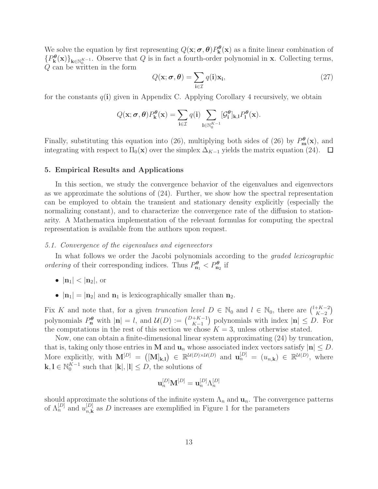We solve the equation by first representing  $Q(\mathbf{x}; \boldsymbol{\sigma}, \boldsymbol{\theta}) P_{\mathbf{k}}^{\boldsymbol{\theta}}(\mathbf{x})$  as a finite linear combination of  ${P_{\mathbf{k}}^{\theta}(\mathbf{x})}_{\mathbf{k}\in\mathbb{N}_{0}^{K-1}}$ . Observe that Q is in fact a fourth-order polynomial in **x**. Collecting terms,  $Q$  can be written in the form

$$
Q(\mathbf{x}; \boldsymbol{\sigma}, \boldsymbol{\theta}) = \sum_{\mathbf{i} \in \mathcal{I}} q(\mathbf{i}) \mathbf{x}_{\mathbf{i}},
$$
\n(27)

for the constants  $q(i)$  given in Appendix C. Applying Corollary 4 recursively, we obtain

$$
Q(\mathbf{x}; \sigma, \theta) P_{\mathbf{k}}^{\theta}(\mathbf{x}) = \sum_{\mathbf{i} \in \mathcal{I}} q(\mathbf{i}) \sum_{\mathbf{l} \in \mathbb{N}_0^{K-1}} [\mathcal{G}_{\mathbf{i}}^{\theta}]_{\mathbf{k},\mathbf{l}} P_{\mathbf{l}}^{\theta}(\mathbf{x}).
$$

Finally, substituting this equation into (26), multiplying both sides of (26) by  $P_m^{\theta}(\mathbf{x})$ , and integrating with respect to  $\Pi_0(\mathbf{x})$  over the simplex  $\Delta_{K-1}$  yields the matrix equation (24).  $\Box$ 

#### 5. Empirical Results and Applications

In this section, we study the convergence behavior of the eigenvalues and eigenvectors as we approximate the solutions of (24). Further, we show how the spectral representation can be employed to obtain the transient and stationary density explicitly (especially the normalizing constant), and to characterize the convergence rate of the diffusion to stationarity. A Mathematica implementation of the relevant formulas for computing the spectral representation is available from the authors upon request.

## 5.1. Convergence of the eigenvalues and eigenvectors

In what follows we order the Jacobi polynomials according to the *graded lexicographic* ordering of their corresponding indices. Thus  $P_{n_1}^{\theta} < P_{n_2}^{\theta}$  if

- $|n_1| < |n_2|$ , or
- $|\mathbf{n}_1| = |\mathbf{n}_2|$  and  $\mathbf{n}_1$  is lexicographically smaller than  $\mathbf{n}_2$ .

Fix K and note that, for a given truncation level  $D \in \mathbb{N}_0$  and  $l \in \mathbb{N}_0$ , there are  $\binom{l+K-2}{K-2}$  $\binom{+K-2}{K-2}$ polynomials  $P_n^{\theta}$  with  $|\mathbf{n}| = l$ , and  $\mathcal{U}(D) := {D+K-1 \choose K-1}$  polynomials with index  $|\mathbf{n}| \leq D$ . For the computations in the rest of this section we chose  $K = 3$ , unless otherwise stated.

Now, one can obtain a finite-dimensional linear system approximating (24) by truncation, that is, taking only those entries in M and  $\mathbf{u}_n$  whose associated index vectors satisfy  $|\mathbf{n}| \leq D$ . More explicitly, with  $\mathbf{M}^{[D]} = ([\mathbf{M}]_{\mathbf{k},\mathbf{l}}) \in \mathbb{R}^{\mathcal{U}(D)\times\mathcal{U}(D)}$  and  $\mathbf{u}_n^{[D]} = (u_{n,\mathbf{k}}) \in \mathbb{R}^{\mathcal{U}(D)}$ , where  $\mathbf{k}, \mathbf{l} \in \mathbb{N}_0^{K-1}$  such that  $|\mathbf{k}|, |\mathbf{l}| \leq D$ , the solutions of

$$
\mathbf{u}_n^{[D]}\mathbf{M}^{[D]}=\mathbf{u}_n^{[D]}\Lambda_n^{[D]}
$$

should approximate the solutions of the infinite system  $\Lambda_n$  and  $\mathbf{u}_n$ . The convergence patterns of  $\Lambda_n^{[D]}$  and  $u_{n,\mathbf{k}}^{[D]}$  as D increases are exemplified in Figure 1 for the parameters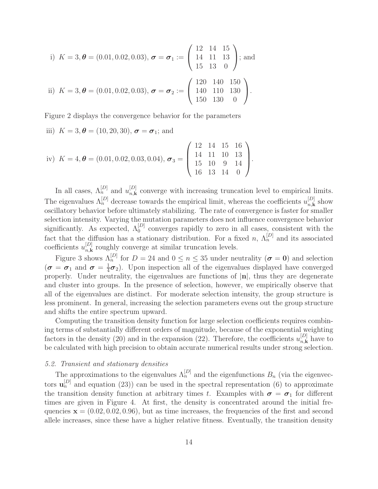i) 
$$
K = 3, \theta = (0.01, 0.02, 0.03), \sigma = \sigma_1 := \begin{pmatrix} 12 & 14 & 15 \\ 14 & 11 & 13 \\ 15 & 13 & 0 \end{pmatrix}
$$
; and  
ii)  $K = 3, \theta = (0.01, 0.02, 0.03), \sigma = \sigma_2 := \begin{pmatrix} 120 & 140 & 150 \\ 140 & 110 & 130 \\ 150 & 130 & 0 \end{pmatrix}$ .

Figure 2 displays the convergence behavior for the parameters

iii)  $K = 3, \theta = (10, 20, 30), \sigma = \sigma_1$ ; and

iv) 
$$
K = 4, \theta = (0.01, 0.02, 0.03, 0.04), \sigma_3 = \begin{pmatrix} 12 & 14 & 15 & 16 \\ 14 & 11 & 10 & 13 \\ 15 & 10 & 9 & 14 \\ 16 & 13 & 14 & 0 \end{pmatrix}
$$
.

In all cases,  $\Lambda_n^{[D]}$  and  $u_{n,\mathbf{k}}^{[D]}$  converge with increasing truncation level to empirical limits. The eigenvalues  $\Lambda_n^{[D]}$  decrease towards the empirical limit, whereas the coefficients  $u_{n,\mathbf{k}}^{[D]}$  show oscillatory behavior before ultimately stabilizing. The rate of convergence is faster for smaller selection intensity. Varying the mutation parameters does not influence convergence behavior significantly. As expected,  $\Lambda_0^{[D]}$  converges rapidly to zero in all cases, consistent with the fact that the diffusion has a stationary distribution. For a fixed n,  $\Lambda_n^{[D]}$  and its associated coefficients  $u_{n,k}^{[D]}$  roughly converge at similar truncation levels.

Figure 3 shows  $\Lambda_n^{[D]}$  for  $D = 24$  and  $0 \le n \le 35$  under neutrality  $(\sigma = 0)$  and selection  $(\boldsymbol{\sigma}\,=\,\boldsymbol{\sigma}_1\,\,\mathrm{and}\,\,\boldsymbol{\sigma}\,=\frac{1}{4})$  $\frac{1}{4}\sigma_2$ ). Upon inspection all of the eigenvalues displayed have converged properly. Under neutrality, the eigenvalues are functions of  $|n|$ , thus they are degenerate and cluster into groups. In the presence of selection, however, we empirically observe that all of the eigenvalues are distinct. For moderate selection intensity, the group structure is less prominent. In general, increasing the selection parameters evens out the group structure and shifts the entire spectrum upward.

Computing the transition density function for large selection coefficients requires combining terms of substantially different orders of magnitude, because of the exponential weighting factors in the density (20) and in the expansion (22). Therefore, the coefficients  $u_{n,\mathbf{k}}^{[D]}$  have to be calculated with high precision to obtain accurate numerical results under strong selection.

## 5.2. Transient and stationary densities

The approximations to the eigenvalues  $\Lambda_n^{[D]}$  and the eigenfunctions  $B_n$  (via the eigenvectors  $\mathbf{u}_n^{[D]}$  and equation (23)) can be used in the spectral representation (6) to approximate the transition density function at arbitrary times t. Examples with  $\sigma = \sigma_1$  for different times are given in Figure 4. At first, the density is concentrated around the initial frequencies  $\mathbf{x} = (0.02, 0.02, 0.96)$ , but as time increases, the frequencies of the first and second allele increases, since these have a higher relative fitness. Eventually, the transition density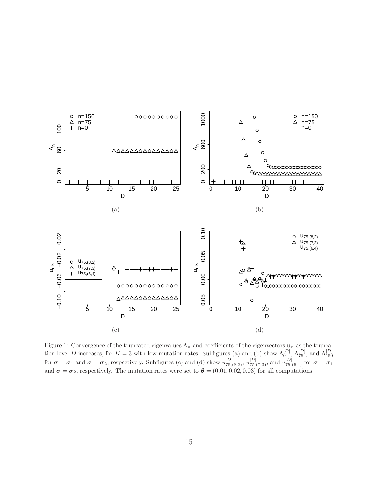

Figure 1: Convergence of the truncated eigenvalues  $\Lambda_n$  and coefficients of the eigenvectors  $\mathbf{u}_n$  as the truncation level D increases, for  $K = 3$  with low mutation rates. Subfigures (a) and (b) show  $\Lambda_0^{[D]}$ ,  $\Lambda_{75}^{[D]}$ , and  $\Lambda_{150}^{[D]}$ for  $\sigma = \sigma_1$  and  $\sigma = \sigma_2$ , respectively. Subfigures (c) and (d) show  $u_{75,(8,2)}^{[D]}$ ,  $u_{75,(7,3)}^{[D]}$ , and  $u_{75,(6,4)}^{[D]}$  for  $\sigma = \sigma_1$ and  $\sigma = \sigma_2$ , respectively. The mutation rates were set to  $\theta = (0.01, 0.02, 0.03)$  for all computations.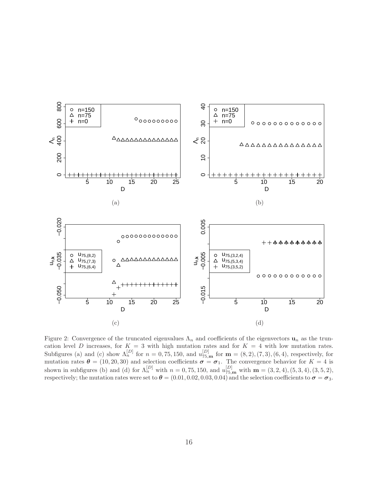

Figure 2: Convergence of the truncated eigenvalues  $\Lambda_n$  and coefficients of the eigenvectors  $\mathbf{u}_n$  as the truncation level D increases, for  $K = 3$  with high mutation rates and for  $K = 4$  with low mutation rates. Subfigures (a) and (c) show  $\Lambda_n^{[D]}$  for  $n = 0, 75, 150$ , and  $u_{75,m}^{[D]}$  for  $\mathbf{m} = (8, 2), (7, 3), (6, 4)$ , respectively, for mutation rates  $\boldsymbol{\theta} = (10, 20, 30)$  and selection coefficients  $\boldsymbol{\sigma} = \boldsymbol{\sigma}_1$ . The convergence behavior for  $K = 4$  is shown in subfigures (b) and (d) for  $\Lambda_n^{[D]}$  with  $n = 0, 75, 150$ , and  $u_{75,m}^{[D]}$  with  $\mathbf{m} = (3, 2, 4), (5, 3, 4), (3, 5, 2),$ respectively; the mutation rates were set to  $\bm{\theta} = (0.01, 0.02, 0.03, 0.04)$  and the selection coefficients to  $\bm{\sigma} = \bm{\sigma}_3$ .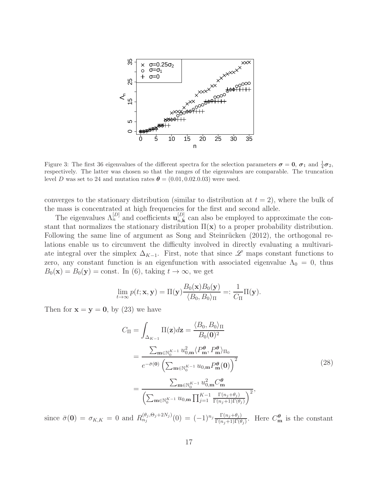

Figure 3: The first 36 eigenvalues of the different spectra for the selection parameters  $\sigma = 0$ ,  $\sigma_1$  and  $\frac{1}{4}\sigma_2$ , respectively. The latter was chosen so that the ranges of the eigenvalues are comparable. The truncation level D was set to 24 and mutation rates  $\theta = (0.01, 0.02, 0.03)$  were used.

converges to the stationary distribution (similar to distribution at  $t = 2$ ), where the bulk of the mass is concentrated at high frequencies for the first and second allele.

The eigenvalues  $\Lambda_n^{[D]}$  and coefficients  $\mathbf{u}_{n,k}^{[D]}$  can also be employed to approximate the constant that normalizes the stationary distribution  $\Pi(\mathbf{x})$  to a proper probability distribution. Following the same line of argument as Song and Steinrücken  $(2012)$ , the orthogonal relations enable us to circumvent the difficulty involved in directly evaluating a multivariate integral over the simplex  $\Delta_{K-1}$ . First, note that since  $\mathscr L$  maps constant functions to zero, any constant function is an eigenfunction with associated eigenvalue  $\Lambda_0 = 0$ , thus  $B_0(\mathbf{x}) = B_0(\mathbf{y}) = \text{const.}$  In (6), taking  $t \to \infty$ , we get

$$
\lim_{t\to\infty}p(t; \mathbf{x}, \mathbf{y}) = \Pi(\mathbf{y})\frac{B_0(\mathbf{x})B_0(\mathbf{y})}{\langle B_0, B_0\rangle_{\Pi}} =: \frac{1}{C_{\Pi}}\Pi(\mathbf{y}).
$$

Then for  $x = y = 0$ , by (23) we have

$$
C_{\Pi} = \int_{\Delta_{K-1}} \Pi(\mathbf{z}) d\mathbf{z} = \frac{\langle B_0, B_0 \rangle_{\Pi}}{B_0(\mathbf{0})^2}
$$
  
= 
$$
\frac{\sum_{\mathbf{m} \in \mathbb{N}_0^{K-1}} u_{0,\mathbf{m}}^2 \langle P_{\mathbf{m}}^{\theta}, P_{\mathbf{m}}^{\theta} \rangle_{\Pi_0}}{e^{-\bar{\sigma}(\mathbf{0})} \left( \sum_{\mathbf{m} \in \mathbb{N}_0^{K-1}} u_{0,\mathbf{m}} P_{\mathbf{m}}^{\theta}(\mathbf{0}) \right)^2}
$$
  
= 
$$
\frac{\sum_{\mathbf{m} \in \mathbb{N}_0^{K-1}} u_{0,\mathbf{m}}^2 \langle P_{\mathbf{m}}^{\theta} \rangle_{\Pi_0}}{\left( \sum_{\mathbf{m} \in \mathbb{N}_0^{K-1}} u_{0,\mathbf{m}} \prod_{j=1}^{K-1} \frac{\Gamma(n_j + \theta_j)}{\Gamma(n_j + 1)\Gamma(\theta_j)} \right)^2},
$$
(28)

since  $\bar{\sigma}(0) = \sigma_{K,K} = 0$  and  $R_{n_j}^{(\theta_j, \Theta_j + 2N_j)}(0) = (-1)^{n_j} \frac{\Gamma(n_j + \theta_j)}{\Gamma(n_j + 1)\Gamma(\theta_j)}$  $\frac{\Gamma(n_j+\theta_j)}{\Gamma(n_j+1)\Gamma(\theta_j)}$ . Here  $C_{\mathbf{m}}^{\theta}$  is the constant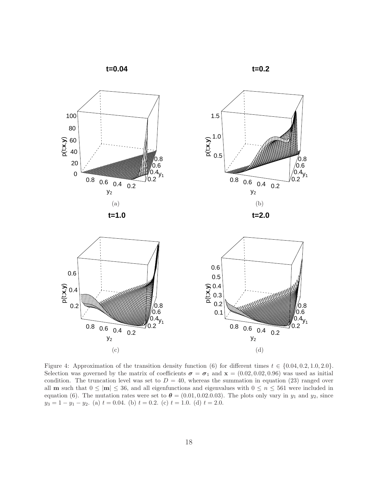**t=0.04**





Figure 4: Approximation of the transition density function (6) for different times  $t \in \{0.04, 0.2, 1.0, 2.0\}$ . Selection was governed by the matrix of coefficients  $\sigma = \sigma_1$  and  $\mathbf{x} = (0.02, 0.02, 0.96)$  was used as initial condition. The truncation level was set to  $D = 40$ , whereas the summation in equation (23) ranged over all **m** such that  $0 \leq |m| \leq 36$ , and all eigenfunctions and eigenvalues with  $0 \leq n \leq 561$  were included in equation (6). The mutation rates were set to  $\theta = (0.01, 0.02, 0.03)$ . The plots only vary in  $y_1$  and  $y_2$ , since  $y_3 = 1 - y_1 - y_2$ . (a)  $t = 0.04$ . (b)  $t = 0.2$ . (c)  $t = 1.0$ . (d)  $t = 2.0$ .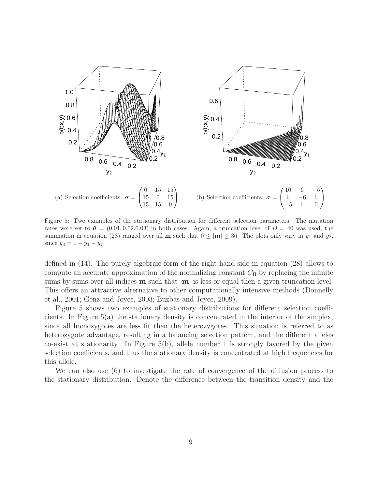

Figure 5: Two examples of the stationary distribution for different selection parameters. The mutation rates were set to  $\theta = (0.01, 0.02, 0.03)$  in both cases. Again, a truncation level of  $D = 40$  was used, the summation in equation (28) ranged over all **m** such that  $0 \leq |m| \leq 36$ . The plots only vary in  $y_1$  and  $y_2$ , since  $y_3 = 1 - y_1 - y_2$ .

defined in (14). The purely algebraic form of the right hand side in equation (28) allows to compute an accurate approximation of the normalizing constant  $C_{\Pi}$  by replacing the infinite sums by sums over all indices  $m$  such that  $|m|$  is less or equal then a given truncation level. This offers an attractive alternative to other computationally intensive methods (Donnelly et al., 2001; Genz and Joyce, 2003; Buzbas and Joyce, 2009).

Figure 5 shows two examples of stationary distributions for different selection coefficients. In Figure 5(a) the stationary density is concentrated in the interior of the simplex, since all homozygotes are less fit then the heterozygotes. This situation is referred to as heterozygote advantage, resulting in a balancing selection pattern, and the different alleles co-exist at stationarity. In Figure 5(b), allele number 1 is strongly favored by the given selection coefficients, and thus the stationary density is concentrated at high frequencies for this allele.

We can also use (6) to investigate the rate of convergence of the diffusion process to the stationary distribution. Denote the difference between the transition density and the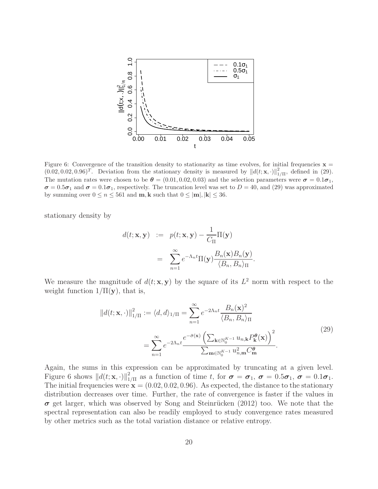

Figure 6: Convergence of the transition density to stationarity as time evolves, for initial frequencies  $x =$  $(0.02, 0.02, 0.96)^T$ . Deviation from the stationary density is measured by  $||d(t; \mathbf{x}, \cdot)||_1^2$  $_{1/\Pi}^2$ , defined in (29). The mutation rates were chosen to be  $\theta = (0.01, 0.02, 0.03)$  and the selection parameters were  $\sigma = 0.1\sigma_1$ ,  $\sigma = 0.5\sigma_1$  and  $\sigma = 0.1\sigma_1$ , respectively. The truncation level was set to  $D = 40$ , and (29) was approximated by summing over  $0 \le n \le 561$  and  $\mathbf{m}, \mathbf{k}$  such that  $0 \le |\mathbf{m}|, |\mathbf{k}| \le 36$ .

stationary density by

$$
d(t; \mathbf{x}, \mathbf{y}) := p(t; \mathbf{x}, \mathbf{y}) - \frac{1}{C_{\Pi}} \Pi(\mathbf{y})
$$
  
= 
$$
\sum_{n=1}^{\infty} e^{-\Lambda_n t} \Pi(\mathbf{y}) \frac{B_n(\mathbf{x}) B_n(\mathbf{y})}{\langle B_n, B_n \rangle_{\Pi}}.
$$

We measure the magnitude of  $d(t; \mathbf{x}, \mathbf{y})$  by the square of its  $L^2$  norm with respect to the weight function  $1/\Pi(y)$ , that is,

$$
||d(t; \mathbf{x}, \cdot)||_{1/\Pi}^{2} := \langle d, d \rangle_{1/\Pi} = \sum_{n=1}^{\infty} e^{-2\Lambda_n t} \frac{B_n(\mathbf{x})^2}{\langle B_n, B_n \rangle_{\Pi}}
$$
  

$$
= \sum_{n=1}^{\infty} e^{-2\Lambda_n t} \frac{e^{-\bar{\sigma}(\mathbf{x})} \left( \sum_{\mathbf{k} \in \mathbb{N}_{0}^{K-1}} u_{n,\mathbf{k}} P_{\mathbf{k}}^{\theta}(\mathbf{x}) \right)^2}{\sum_{\mathbf{m} \in \mathbb{N}_{0}^{K-1}} u_{n,\mathbf{m}}^2 C_{\mathbf{m}}^{\theta}}.
$$
(29)

Again, the sums in this expression can be approximated by truncating at a given level. Figure 6 shows  $||d(t; \mathbf{x}, \cdot)||_1^2$  $\sigma_{1/\Pi}^2$  as a function of time t, for  $\sigma = \sigma_1$ ,  $\sigma = 0.5\sigma_1$ ,  $\sigma = 0.1\sigma_1$ . The initial frequencies were  $\mathbf{x} = (0.02, 0.02, 0.96)$ . As expected, the distance to the stationary distribution decreases over time. Further, the rate of convergence is faster if the values in  $\sigma$  get larger, which was observed by Song and Steinrücken (2012) too. We note that the spectral representation can also be readily employed to study convergence rates measured by other metrics such as the total variation distance or relative entropy.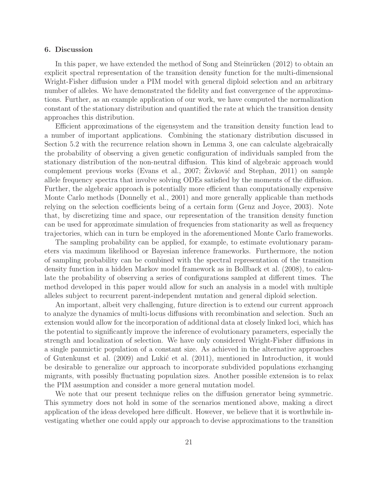#### 6. Discussion

In this paper, we have extended the method of Song and Steinrücken (2012) to obtain an explicit spectral representation of the transition density function for the multi-dimensional Wright-Fisher diffusion under a PIM model with general diploid selection and an arbitrary number of alleles. We have demonstrated the fidelity and fast convergence of the approximations. Further, as an example application of our work, we have computed the normalization constant of the stationary distribution and quantified the rate at which the transition density approaches this distribution.

Efficient approximations of the eigensystem and the transition density function lead to a number of important applications. Combining the stationary distribution discussed in Section 5.2 with the recurrence relation shown in Lemma 3, one can calculate algebraically the probability of observing a given genetic configuration of individuals sampled from the stationary distribution of the non-neutral diffusion. This kind of algebraic approach would complement previous works (Evans et al., 2007; Zivković and Stephan, 2011) on sample allele frequency spectra that involve solving ODEs satisfied by the moments of the diffusion. Further, the algebraic approach is potentially more efficient than computationally expensive Monte Carlo methods (Donnelly et al., 2001) and more generally applicable than methods relying on the selection coefficients being of a certain form (Genz and Joyce, 2003). Note that, by discretizing time and space, our representation of the transition density function can be used for approximate simulation of frequencies from stationarity as well as frequency trajectories, which can in turn be employed in the aforementioned Monte Carlo frameworks.

The sampling probability can be applied, for example, to estimate evolutionary parameters via maximum likelihood or Bayesian inference frameworks. Furthermore, the notion of sampling probability can be combined with the spectral representation of the transition density function in a hidden Markov model framework as in Bollback et al. (2008), to calculate the probability of observing a series of configurations sampled at different times. The method developed in this paper would allow for such an analysis in a model with multiple alleles subject to recurrent parent-independent mutation and general diploid selection.

An important, albeit very challenging, future direction is to extend our current approach to analyze the dynamics of multi-locus diffusions with recombination and selection. Such an extension would allow for the incorporation of additional data at closely linked loci, which has the potential to significantly improve the inference of evolutionary parameters, especially the strength and localization of selection. We have only considered Wright-Fisher diffusions in a single panmictic population of a constant size. As achieved in the alternative approaches of Gutenkunst et al. (2009) and Lukić et al. (2011), mentioned in Introduction, it would be desirable to generalize our approach to incorporate subdivided populations exchanging migrants, with possibly fluctuating population sizes. Another possible extension is to relax the PIM assumption and consider a more general mutation model.

We note that our present technique relies on the diffusion generator being symmetric. This symmetry does not hold in some of the scenarios mentioned above, making a direct application of the ideas developed here difficult. However, we believe that it is worthwhile investigating whether one could apply our approach to devise approximations to the transition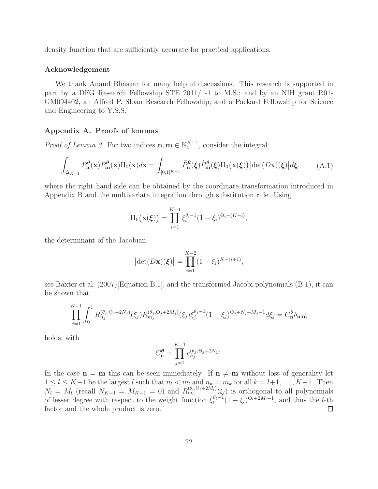density function that are sufficiently accurate for practical applications.

#### Acknowledgement

We thank Anand Bhaskar for many helpful discussions. This research is supported in part by a DFG Research Fellowship STE 2011/1-1 to M.S.; and by an NIH grant R01- GM094402, an Alfred P. Sloan Research Fellowship, and a Packard Fellowship for Science and Engineering to Y.S.S.

## Appendix A. Proofs of lemmas

*Proof of Lemma 2*. For two indices  $\mathbf{n}, \mathbf{m} \in \mathbb{N}_0^{K-1}$ , consider the integral

$$
\int_{\Delta_{K-1}} P_{\mathbf{n}}^{\theta}(\mathbf{x}) P_{\mathbf{m}}^{\theta}(\mathbf{x}) \Pi_{0}(\mathbf{x}) d\mathbf{x} = \int_{[0,1]^{K-1}} \tilde{P}_{\mathbf{n}}^{\theta}(\xi) \tilde{P}_{\mathbf{m}}^{\theta}(\xi) \Pi_{0}(\mathbf{x}(\xi)) |\det(D\mathbf{x})(\xi)| d\xi, \tag{A.1}
$$

where the right hand side can be obtained by the coordinate transformation introduced in Appendix B and the multivariate integration through substitution rule. Using

$$
\Pi_0(\mathbf{x}(\xi)) = \prod_{i=1}^{K-1} \xi_i^{\theta_i - 1} (1 - \xi_i)^{\Theta_i - (K - i)},
$$

the determinant of the Jacobian

$$
\left| \det(D\mathbf{x})(\boldsymbol{\xi}) \right| = \prod_{i=1}^{K-2} (1 - \xi_i)^{K - (i+1)},
$$

see Baxter et al. (2007)[Equation B.1], and the transformed Jacobi polynomials (B.1), it can be shown that

$$
\prod_{j=1}^{K-1} \int_0^1 R_{n_j}^{(\theta_j, \Theta_j + 2N_j)}(\xi_j) R_{m_j}^{(\theta_j, \Theta_j + 2M_j)}(\xi_j) \xi_j^{\theta_j - 1} (1 - \xi_j)^{\Theta_j + N_j + M_j - 1} d\xi_j = C_n^{\theta} \delta_{\mathbf{n}, \mathbf{m}}
$$

holds, with

$$
C_{\mathbf{n}}^{\theta} = \prod_{j=1}^{K-1} c_{n_j}^{(\theta_j, \Theta_j + 2N_j)}.
$$

In the case  $n = m$  this can be seen immediately. If  $n \neq m$  without loss of generality let  $1 \leq l \leq K-1$  be the largest l such that  $n_l < m_l$  and  $n_k = m_k$  for all  $k = l+1, \ldots, K-1$ . Then  $N_l = M_l$  (recall  $N_{K-1} = M_{K-1} = 0$ ) and  $R_{m_l}^{(\theta_l, \Theta_l + 2M_l)}(\xi_l)$  is orthogonal to all polynomials of lesser degree with respect to the weight function  $\xi_l^{\theta_l-1}$  $\frac{\theta_l-1}{l}(1-\xi_l)^{\Theta_l+2M_l-1}$ , and thus the *l*-th factor and the whole product is zero.  $\Box$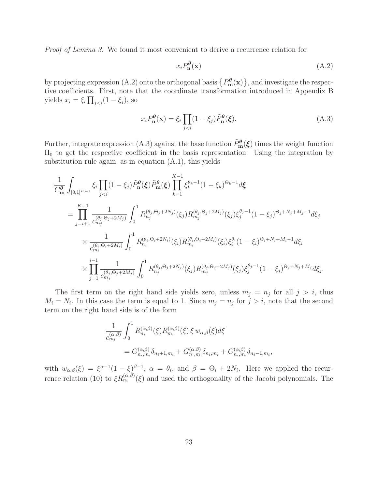Proof of Lemma 3. We found it most convenient to derive a recurrence relation for

$$
x_i P_n^{\theta}(\mathbf{x})\tag{A.2}
$$

by projecting expression (A.2) onto the orthogonal basis  $\{P_m^{\theta}(\mathbf{x})\}$ , and investigate the respective coefficients. First, note that the coordinate transformation introduced in Appendix B yields  $x_i = \xi_i \prod_{j, so$ 

$$
x_i P_n^{\theta}(\mathbf{x}) = \xi_i \prod_{j < i} (1 - \xi_j) \tilde{P}_n^{\theta}(\xi). \tag{A.3}
$$

Further, integrate expression (A.3) against the base function  $\tilde{P}_{\text{m}}^{\theta}(\xi)$  times the weight function  $\Pi_0$  to get the respective coefficient in the basis representation. Using the integration by substitution rule again, as in equation  $(A.1)$ , this yields

$$
\frac{1}{C_{\mathbf{m}}^{\theta}} \int_{[0,1]^{K-1}} \xi_i \prod_{j\n
$$
= \prod_{j=i+1}^{K-1} \frac{1}{c_{m_j}^{(\theta_j,\Theta_j+2M_j)}} \int_0^1 R_{n_j}^{(\theta_j,\Theta_j+2N_j)}(\xi_j) R_{m_j}^{(\theta_j,\Theta_j+2M_j)}(\xi_j) \xi_j^{\theta_j-1} (1-\xi_j)^{\Theta_j+N_j+M_j-1} d\xi_j
$$
\n
$$
\times \frac{1}{c_{m_i}^{(\theta_i,\Theta_i+2M_i)}} \int_0^1 R_{n_i}^{(\theta_i,\Theta_i+2N_i)}(\xi_i) R_{m_i}^{(\theta_i,\Theta_i+2M_i)}(\xi_i) \xi_i^{\theta_i} (1-\xi_i)^{\Theta_i+N_i+M_i-1} d\xi_i
$$
\n
$$
\times \prod_{j=1}^{i-1} \frac{1}{c_{m_j}^{(\theta_j,\Theta_j+2M_j)}} \int_0^1 R_{n_j}^{(\theta_j,\Theta_j+2N_j)}(\xi_j) R_{m_j}^{(\theta_j,\Theta_j+2M_j)}(\xi_j) \xi_j^{\theta_j-1} (1-\xi_j)^{\Theta_j+N_j+M_j} d\xi_j.
$$
$$

The first term on the right hand side yields zero, unless  $m_j = n_j$  for all  $j > i$ , thus  $M_i = N_i$ . In this case the term is equal to 1. Since  $m_j = n_j$  for  $j > i$ , note that the second term on the right hand side is of the form

$$
\frac{1}{c_{m_i}^{(\alpha,\beta)}} \int_0^1 R_{n_i}^{(\alpha,\beta)}(\xi) R_{m_i}^{(\alpha,\beta)}(\xi) \xi w_{\alpha,\beta}(\xi) d\xi
$$
  
=  $G_{n_i,m_i}^{(\alpha,\beta)} \delta_{n_i+1,m_i} + G_{n_i,m_i}^{(\alpha,\beta)} \delta_{n_i,m_i} + G_{n_i,m_i}^{(\alpha,\beta)} \delta_{n_i-1,m_i},$ 

with  $w_{\alpha,\beta}(\xi) = \xi^{\alpha-1}(1-\xi)^{\beta-1}, \ \alpha = \theta_i$ , and  $\beta = \Theta_i + 2N_i$ . Here we applied the recurrence relation (10) to  $\xi R_{n_i}^{(\alpha,\beta)}(\xi)$  and used the orthogonality of the Jacobi polynomials. The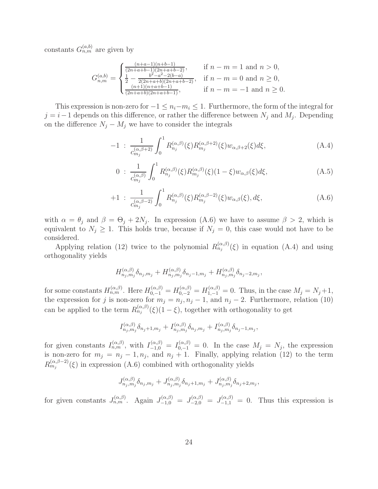constants  $G_{n,m}^{(a,b)}$  are given by

$$
G_{n,m}^{(a,b)} = \begin{cases} \frac{(n+a-1)(n+b-1)}{(2n+a+b-1)(2n+a+b-2)}, & \text{if } n-m = 1 \text{ and } n > 0, \\ \frac{1}{2} - \frac{b^2 - a^2 - 2(b-a)}{2(2n+a+b)(2n+a+b-2)}, & \text{if } n-m = 0 \text{ and } n \ge 0, \\ \frac{(n+1)(n+a+b-1)}{(2n+a+b)(2n+a+b-1)}, & \text{if } n-m = -1 \text{ and } n \ge 0. \end{cases}
$$

This expression is non-zero for  $-1 \leq n_i-m_i \leq 1$ . Furthermore, the form of the integral for  $j = i-1$  depends on this difference, or rather the difference between  $N_j$  and  $M_j$ . Depending on the difference  $N_j - M_j$  we have to consider the integrals

$$
-1 \; : \; \frac{1}{c_{m_j}^{(\alpha,\beta+2)}} \int_0^1 R_{n_j}^{(\alpha,\beta)}(\xi) R_{m_j}^{(\alpha,\beta+2)}(\xi) w_{\alpha,\beta+2}(\xi) d\xi, \tag{A.4}
$$

$$
0 : \frac{1}{c_{m_j}^{(\alpha,\beta)}} \int_0^1 R_{n_j}^{(\alpha,\beta)}(\xi) R_{m_j}^{(\alpha,\beta)}(\xi) (1-\xi) w_{\alpha,\beta}(\xi) d\xi,
$$
 (A.5)

$$
+1\;:\;\frac{1}{c_{m_j}^{(\alpha,\beta-2)}}\int_0^1 R_{n_j}^{(\alpha,\beta)}(\xi)R_{m_j}^{(\alpha,\beta-2)}(\xi)w_{\alpha,\beta}(\xi),d\xi,\tag{A.6}
$$

with  $\alpha = \theta_j$  and  $\beta = \Theta_j + 2N_j$ . In expression (A.6) we have to assume  $\beta > 2$ , which is equivalent to  $N_j \geq 1$ . This holds true, because if  $N_j = 0$ , this case would not have to be considered.

Applying relation (12) twice to the polynomial  $R_{n_j}^{(\alpha,\beta)}(\xi)$  in equation (A.4) and using orthogonality yields

$$
H_{n_j,m_j}^{(\alpha,\beta)}\delta_{n_j,m_j} + H_{n_j,m_j}^{(\alpha,\beta)}\delta_{n_j-1,m_j} + H_{n_j,m_j}^{(\alpha,\beta)}\delta_{n_j-2,m_j},
$$

for some constants  $H_{n,m}^{(\alpha,\beta)}$ . Here  $H_{0,-1}^{(\alpha,\beta)}=H_{0,-2}^{(\alpha,\beta)}=H_{1,-1}^{(\alpha,\beta)}=0$ . Thus, in the case  $M_j=N_j+1$ , the expression for j is non-zero for  $m_j = n_j$ ,  $n_j - 1$ , and  $n_j - 2$ . Furthermore, relation (10) can be applied to the term  $R_{n_j}^{(\alpha,\beta)}(\xi)(1-\xi)$ , together with orthogonality to get

$$
I_{n_j,m_j}^{(\alpha,\beta)}\delta_{n_j+1,m_j}+I_{n_j,m_j}^{(\alpha,\beta)}\delta_{n_j,m_j}+I_{n_j,m_j}^{(\alpha,\beta)}\delta_{n_j-1,m_j},
$$

for given constants  $I_{n,m}^{(\alpha,\beta)}$ , with  $I_{-1,0}^{(\alpha,\beta)}=I_{0,-1}^{(\alpha,\beta)}=0$ . In the case  $M_j=N_j$ , the expression is non-zero for  $m_j = n_j - 1, n_j$ , and  $n_j + 1$ . Finally, applying relation (12) to the term  $R_{m_j}^{(\alpha,\beta-2)}(\xi)$  in expression (A.6) combined with orthogonality yields

$$
J_{n_j,m_j}^{(\alpha,\beta)}\delta_{n_j,m_j}+J_{n_j,m_j}^{(\alpha,\beta)}\delta_{n_j+1,m_j}+J_{n_j,m_j}^{(\alpha,\beta)}\delta_{n_j+2,m_j},
$$

for given constants  $J_{n,m}^{(\alpha,\beta)}$ . Again  $J_{-1,0}^{(\alpha,\beta)} = J_{-2,0}^{(\alpha,\beta)} = J_{-1,1}^{(\alpha,\beta)} = 0$ . Thus this expression is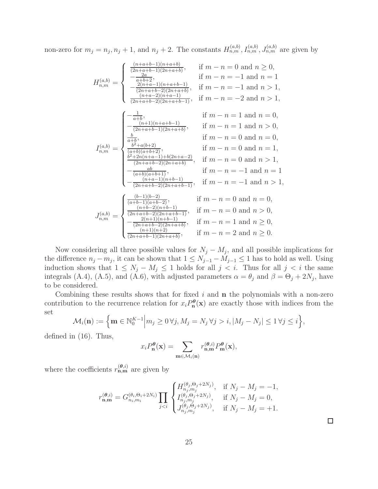non-zero for  $m_j = n_j, n_j + 1$ , and  $n_j + 2$ . The constants  $H_{n,m}^{(a,b)}, I_{n,m}^{(a,b)}, J_{n,m}^{(a,b)}$  are given by

$$
H_{n,m}^{(a,b)} = \begin{cases} \frac{(n+a+b-1)(n+a+b)}{(2n+a+b-1)(2n+a+b)}, & \text{if } m-n = 0 \text{ and } n \ge 0, \\ -\frac{2a}{a+b+2}, & \text{if } m-n = -1 \text{ and } n = 1 \\ -\frac{2(n+a-1)(n+a+b-1)}{(2n+a+b-2)(2n+a+b)}, & \text{if } m-n = -1 \text{ and } n > 1, \\ \frac{(n+a-2)(n+a-1)}{(2n+a+b-2)(2n+a+b-1)}, & \text{if } m-n = -2 \text{ and } n > 1, \\ -\frac{(-1)}{(2n+a+b-1)(2n+a+b)}, & \text{if } m-n = 1 \text{ and } n = 0, \\ -\frac{(-1)}{(2n+a+b-1)(2n+a+b)}, & \text{if } m-n = 1 \text{ and } n > 0, \\ \frac{b}{a+b}, & \text{if } m-n = 0 \text{ and } n = 1, \\ \frac{b^2+a(b+2)}{(2n+a+b-2)(2n+a+b)}, & \text{if } m-n = 0 \text{ and } n > 1, \\ -\frac{ab}{(2n+a+b-2)(2n+a+b)}, & \text{if } m-n = -1 \text{ and } n > 1, \\ -\frac{ab}{(2n+a+b-2)(2n+a+b-1)}, & \text{if } m-n = -1 \text{ and } n > 1, \\ -\frac{ab}{(2n+a+b-2)(2n+a+b-1)}, & \text{if } m-n = -1 \text{ and } n > 1, \\ \frac{(n+a-1)(n+b-1)}{(2n+a+b-2)(2n+a+b-1)}, & \text{if } m-n = 0 \text{ and } n > 0, \\ \frac{(n+b-2)(n+b-1)}{(2n+a+b-2)(2n+a+b-1)}, & \text{if } m-n = 0 \text{ and } n > 0, \\ -\frac{2(n+1)(n+b-1)}{(2n+a+b-2)(2n+a+b)}, & \text{if } m-n = 1 \text{ and } n \ge 0, \\ \frac{(n+1)(n+2)}{(2n+a+b-1)(2n+a+b)}, & \text{if } m-n = 2 \text{ and } n \ge 0. \end{cases}
$$

Now considering all three possible values for  $N_j - M_j$ , and all possible implications for the difference  $n_j - m_j$ , it can be shown that  $1 \le N_{j-1} - M_{j-1} \le 1$  has to hold as well. Using induction shows that  $1 \leq N_j - M_j \leq 1$  holds for all  $j < i$ . Thus for all  $j < i$  the same integrals (A.4), (A.5), and (A.6), with adjusted parameters  $\alpha = \theta_j$  and  $\beta = \Theta_j + 2N_j$ , have to be considered.

Combining these results shows that for fixed  $i$  and  $n$  the polynomials with a non-zero contribution to the recurrence relation for  $x_i P_n^{\theta}(\mathbf{x})$  are exactly those with indices from the set

$$
\mathcal{M}_i(\mathbf{n}) := \left\{ \mathbf{m} \in \mathbb{N}_0^{K-1} \middle| m_j \ge 0 \,\forall j, M_j = N_j \,\forall j > i, |M_j - N_j| \le 1 \,\forall j \le i \right\},\
$$

defined in (16). Thus,

$$
x_i P_n^{\theta}(\mathbf{x}) = \sum_{\mathbf{m} \in \mathcal{M}_i(\mathbf{n})} r_{\mathbf{n},\mathbf{m}}^{(\theta,i)} P_{\mathbf{m}}^{\theta}(\mathbf{x}),
$$

where the coefficients  $r_{\mathbf{n},\mathbf{m}}^{(\theta,i)}$  are given by

$$
r_{\mathbf{n},\mathbf{m}}^{(\theta,i)} = G_{n_i,m_i}^{(\theta_i,\Theta_i+2N_i)} \prod_{j
$$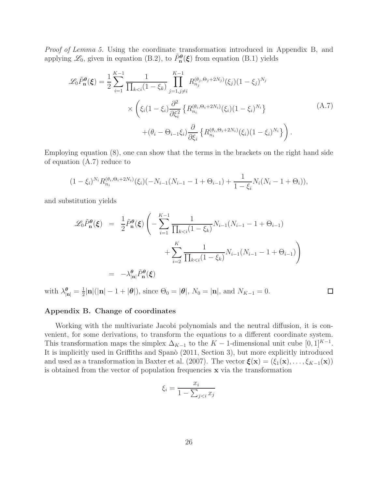Proof of Lemma 5. Using the coordinate transformation introduced in Appendix B, and applying  $\mathscr{L}_0$ , given in equation (B.2), to  $\tilde{P}_n^{\theta}(\xi)$  from equation (B.1) yields

$$
\mathcal{L}_{0}\tilde{P}_{n}^{\theta}(\xi) = \frac{1}{2} \sum_{i=1}^{K-1} \frac{1}{\prod_{k < i} (1 - \xi_{k})} \prod_{j=1, j \neq i}^{K-1} R_{n_{j}}^{(\theta_{j}, \Theta_{j} + 2N_{j})}(\xi_{j}) (1 - \xi_{j})^{N_{j}} \times \left( \xi_{i} (1 - \xi_{i}) \frac{\partial^{2}}{\partial \xi_{i}^{2}} \left\{ R_{n_{i}}^{(\theta_{i}, \Theta_{i} + 2N_{i})}(\xi_{i}) (1 - \xi_{i})^{N_{i}} \right\} + (\theta_{i} - \Theta_{i-1} \xi_{i}) \frac{\partial}{\partial \xi_{i}} \left\{ R_{n_{i}}^{(\theta_{i}, \Theta_{i} + 2N_{i})}(\xi_{i}) (1 - \xi_{i})^{N_{i}} \right\} \right). \tag{A.7}
$$

Employing equation (8), one can show that the terms in the brackets on the right hand side of equation (A.7) reduce to

$$
(1 - \xi_i)^{N_i} R_{n_i}^{(\theta_i, \Theta_i + 2N_i)}(\xi_i) (-N_{i-1}(N_{i-1} - 1 + \Theta_{i-1}) + \frac{1}{1 - \xi_i} N_i(N_i - 1 + \Theta_i)),
$$

and substitution yields

$$
\mathcal{L}_0 \tilde{P}_n^{\theta}(\xi) = \frac{1}{2} \tilde{P}_n^{\theta}(\xi) \left( - \sum_{i=1}^{K-1} \frac{1}{\prod_{k < i} (1 - \xi_k)} N_{i-1} (N_{i-1} - 1 + \Theta_{i-1}) + \sum_{i=2}^{K} \frac{1}{\prod_{k < i} (1 - \xi_k)} N_{i-1} (N_{i-1} - 1 + \Theta_{i-1}) \right)
$$
\n
$$
= -\lambda_{|\mathbf{n}|}^{\theta} \tilde{P}_n^{\theta}(\xi)
$$

with  $\lambda_{|\mathbf{n}|}^{\theta} = \frac{1}{2}$  $\frac{1}{2}$ |**n**|(|**n**| − 1 + | $\theta$ |), since  $\Theta_0 = |\theta|$ ,  $N_0 = |\mathbf{n}|$ , and  $N_{K-1} = 0$ .

#### $\Box$

#### Appendix B. Change of coordinates

Working with the multivariate Jacobi polynomials and the neutral diffusion, it is convenient, for some derivations, to transform the equations to a different coordinate system. This transformation maps the simplex  $\Delta_{K-1}$  to the  $K-1$ -dimensional unit cube  $[0,1]^{K-1}$ . It is implicitly used in Griffiths and Spanò (2011, Section 3), but more explicitly introduced and used as a transformation in Baxter et al. (2007). The vector  $\boldsymbol{\xi}(\mathbf{x}) = (\xi_1(\mathbf{x}), \dots, \xi_{K-1}(\mathbf{x}))$ is obtained from the vector of population frequencies x via the transformation

$$
\xi_i = \frac{x_i}{1 - \sum_{j < i} x_j}
$$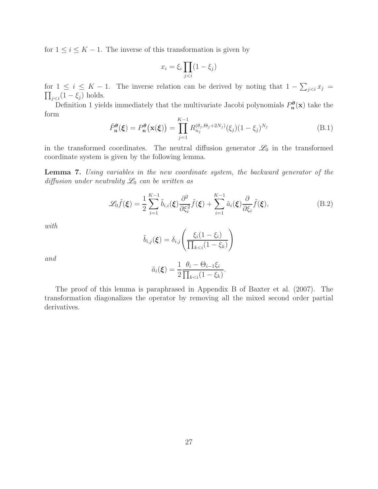for  $1 \leq i \leq K - 1$ . The inverse of this transformation is given by

$$
x_i = \xi_i \prod_{j
$$

for  $1 \leq i \leq K - 1$ . The inverse relation can be derived by noting that  $1 - \sum_{j < i} x_j =$  $\prod_{j holds.$ 

Definition 1 yields immediately that the multivariate Jacobi polynomials  $P_{\mathbf{n}}^{\theta}(\mathbf{x})$  take the form

$$
\tilde{P}_{\mathbf{n}}^{\theta}(\boldsymbol{\xi}) = P_{\mathbf{n}}^{\theta}(\mathbf{x}(\boldsymbol{\xi})) = \prod_{j=1}^{K-1} R_{n_j}^{(\theta_j, \Theta_j + 2N_j)}(\xi_j)(1 - \xi_j)^{N_j}
$$
(B.1)

in the transformed coordinates. The neutral diffusion generator  $\mathscr{L}_0$  in the transformed coordinate system is given by the following lemma.

Lemma 7. Using variables in the new coordinate system, the backward generator of the diffusion under neutrality  $\mathcal{L}_0$  can be written as

$$
\mathcal{L}_0 \tilde{f}(\boldsymbol{\xi}) = \frac{1}{2} \sum_{i=1}^{K-1} \tilde{b}_{i,i}(\boldsymbol{\xi}) \frac{\partial^2}{\partial \xi_i^2} \tilde{f}(\boldsymbol{\xi}) + \sum_{i=1}^{K-1} \tilde{a}_i(\boldsymbol{\xi}) \frac{\partial}{\partial \xi_i} \tilde{f}(\boldsymbol{\xi}),
$$
(B.2)

with

$$
\tilde{b}_{i,j}(\boldsymbol{\xi}) = \delta_{i,j} \left( \frac{\xi_i (1 - \xi_i)}{\prod_{k < i} (1 - \xi_k)} \right)
$$

and

$$
\tilde{a}_i(\boldsymbol{\xi}) = \frac{1}{2} \frac{\theta_i - \Theta_{i-1} \xi_i}{\prod_{k < i} (1 - \xi_k)}.
$$

The proof of this lemma is paraphrased in Appendix B of Baxter et al. (2007). The transformation diagonalizes the operator by removing all the mixed second order partial derivatives.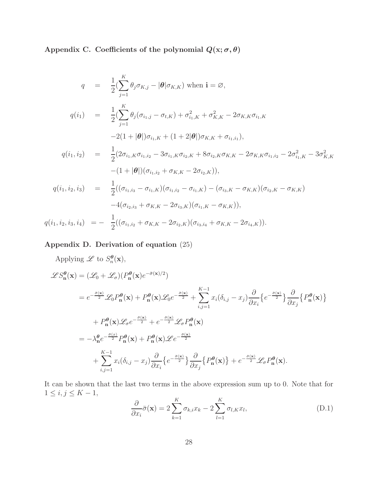Appendix C. Coefficients of the polynomial  $Q(\mathbf{x}; \sigma, \theta)$ 

$$
q = \frac{1}{2} \left( \sum_{j=1}^{K} \theta_{j} \sigma_{K,j} - |\theta| \sigma_{K,K} \right) \text{ when } \mathbf{i} = \varnothing,
$$
  
\n
$$
q(i_{1}) = \frac{1}{2} \left( \sum_{j=1}^{K} \theta_{j} (\sigma_{i_{1},j} - \sigma_{t,K}) + \sigma_{i_{1},K}^{2} + \sigma_{K,K}^{2} - 2\sigma_{K,K}\sigma_{i_{1},K} \right.
$$
  
\n
$$
-2(1 + |\theta|) \sigma_{i_{1},K} + (1 + 2|\theta|) \sigma_{K,K} + \sigma_{i_{1},i_{1}}),
$$
  
\n
$$
q(i_{1},i_{2}) = \frac{1}{2} (2\sigma_{i_{1},K}\sigma_{i_{1},i_{2}} - 3\sigma_{i_{1},K}\sigma_{i_{2},K} + 8\sigma_{i_{2},K}\sigma_{K,K} - 2\sigma_{K,K}\sigma_{i_{1},i_{2}} - 2\sigma_{i_{1},K}^{2} - 3\sigma_{K,K}^{2} - (1 + |\theta|)(\sigma_{i_{1},i_{2}} + \sigma_{K,K} - 2\sigma_{i_{2},K})),
$$
  
\n
$$
q(i_{1},i_{2},i_{3}) = \frac{1}{2} ((\sigma_{i_{1},i_{3}} - \sigma_{i_{1},K})(\sigma_{i_{1},i_{2}} - \sigma_{i_{1},K}) - (\sigma_{i_{3},K} - \sigma_{K,K})(\sigma_{i_{2},K} - \sigma_{K,K}) - 4(\sigma_{i_{2},i_{3}} + \sigma_{K,K} - 2\sigma_{i_{3},K})(\sigma_{i_{1},K} - \sigma_{K,K})),
$$
  
\n
$$
q(i_{1},i_{2},i_{3},i_{4}) = -\frac{1}{2} ((\sigma_{i_{1},i_{2}} + \sigma_{K,K} - 2\sigma_{i_{2},K})(\sigma_{i_{3},i_{4}} + \sigma_{K,K} - 2\sigma_{i_{4},K})).
$$

Appendix D. Derivation of equation (25)

Applying  $\mathscr L$  to  $S_n^{\theta}$  $_n^{\boldsymbol{\theta}}(\mathbf{x}),$ 

$$
\mathscr{L}S_{\mathbf{n}}^{\theta}(\mathbf{x}) = (\mathscr{L}_{0} + \mathscr{L}_{\sigma})(P_{\mathbf{n}}^{\theta}(\mathbf{x})e^{-\bar{\sigma}(\mathbf{x})/2})
$$
  
\n
$$
= e^{-\frac{\bar{\sigma}(\mathbf{x})}{2}}\mathscr{L}_{0}P_{\mathbf{n}}^{\theta}(\mathbf{x}) + P_{\mathbf{n}}^{\theta}(\mathbf{x})\mathscr{L}_{0}e^{-\frac{\bar{\sigma}(\mathbf{x})}{2}} + \sum_{i,j=1}^{K-1} x_{i}(\delta_{i,j} - x_{j})\frac{\partial}{\partial x_{i}}\left\{e^{-\frac{\bar{\sigma}(\mathbf{x})}{2}}\right\}\frac{\partial}{\partial x_{j}}\left\{P_{\mathbf{n}}^{\theta}(\mathbf{x})\right\}
$$
  
\n
$$
+ P_{\mathbf{n}}^{\theta}(\mathbf{x})\mathscr{L}_{\sigma}e^{-\frac{\bar{\sigma}(\mathbf{x})}{2}} + e^{-\frac{\bar{\sigma}(\mathbf{x})}{2}}\mathscr{L}_{\sigma}P_{\mathbf{n}}^{\theta}(\mathbf{x})
$$
  
\n
$$
= -\lambda_{\mathbf{n}}^{\theta}e^{-\frac{\bar{\sigma}(\mathbf{x})}{2}}P_{\mathbf{n}}^{\theta}(\mathbf{x}) + P_{\mathbf{n}}^{\theta}(\mathbf{x})\mathscr{L}e^{-\frac{\bar{\sigma}(\mathbf{x})}{2}}
$$
  
\n
$$
+ \sum_{i,j=1}^{K-1} x_{i}(\delta_{i,j} - x_{j})\frac{\partial}{\partial x_{i}}\left\{e^{-\frac{\bar{\sigma}(\mathbf{x})}{2}}\right\}\frac{\partial}{\partial x_{j}}\left\{P_{\mathbf{n}}^{\theta}(\mathbf{x})\right\} + e^{-\frac{\bar{\sigma}(\mathbf{x})}{2}}\mathscr{L}_{\sigma}P_{\mathbf{n}}^{\theta}(\mathbf{x}).
$$

It can be shown that the last two terms in the above expression sum up to 0. Note that for  $1 \leq i, j \leq K - 1$ ,

$$
\frac{\partial}{\partial x_i}\bar{\sigma}(\mathbf{x}) = 2\sum_{k=1}^K \sigma_{k,i} x_k - 2\sum_{l=1}^K \sigma_{l,K} x_l,
$$
\n(D.1)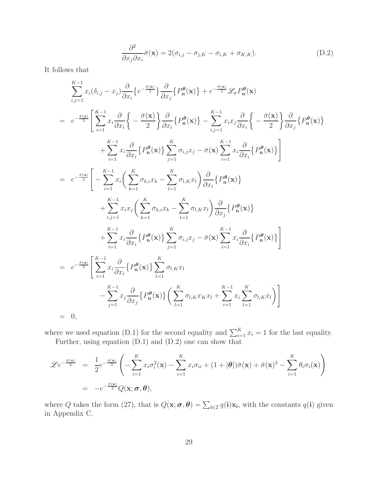$$
\frac{\partial^2}{\partial x_j \partial x_i} \bar{\sigma}(\mathbf{x}) = 2(\sigma_{i,j} - \sigma_{j,K} - \sigma_{i,K} + \sigma_{K,K}).
$$
\n(D.2)

It follows that

$$
\sum_{i,j=1}^{K-1} x_i (\delta_{i,j} - x_j) \frac{\partial}{\partial x_i} \{e^{-\frac{\beta(\mathbf{x})}{2}}\} \frac{\partial}{\partial x_j} \{P_n^{\theta}(\mathbf{x})\} + e^{-\frac{\beta(\mathbf{x})}{2}} \mathcal{L}_{\sigma} P_n^{\theta}(\mathbf{x})
$$
\n
$$
= e^{-\frac{\beta(\mathbf{x})}{2}} \Bigg[ \sum_{i=1}^{K-1} x_i \frac{\partial}{\partial x_i} \Bigg\{ -\frac{\bar{\sigma}(\mathbf{x})}{2} \Bigg\} \frac{\partial}{\partial x_i} \{P_n^{\theta}(\mathbf{x})\} - \sum_{i,j=1}^{K-1} x_i x_j \frac{\partial}{\partial x_i} \Bigg\{ -\frac{\bar{\sigma}(\mathbf{x})}{2} \Bigg\} \frac{\partial}{\partial x_j} \{P_n^{\theta}(\mathbf{x})\}
$$
\n
$$
+ \sum_{i=1}^{K-1} x_i \frac{\partial}{\partial x_i} \{P_n^{\theta}(\mathbf{x})\} \sum_{j=1}^{K} \sigma_{i,j} x_j - \bar{\sigma}(\mathbf{x}) \sum_{i=1}^{K-1} x_i \frac{\partial}{\partial x_i} \{P_n^{\theta}(\mathbf{x})\} \Bigg]
$$
\n
$$
= e^{-\frac{\bar{\sigma}(\mathbf{x})}{2}} \Bigg[ -\sum_{i=1}^{K-1} x_i \Big( \sum_{k=1}^{K} \sigma_{k,i} x_k - \sum_{l=1}^{K} \sigma_{l,K} x_l \Big) \frac{\partial}{\partial x_i} \{P_n^{\theta}(\mathbf{x})\}
$$
\n
$$
+ \sum_{i,j=1}^{K-1} x_i x_j \Big( \sum_{k=1}^{K} \sigma_{k,i} x_k - \sum_{l=1}^{K} \sigma_{l,K} x_l \Bigg) \frac{\partial}{\partial x_j} \{P_n^{\theta}(\mathbf{x})\}
$$
\n
$$
+ \sum_{i=1}^{K-1} x_i \frac{\partial}{\partial x_i} \{P_n^{\theta}(\mathbf{x})\} \sum_{j=1}^{K} \sigma_{i,j} x_j - \bar{\sigma}(\mathbf{x}) \sum_{i=1}^{K-1} x_i \frac{\partial}{\partial x_i} \{P_n^{\theta}(\mathbf{x})\} \Bigg]
$$
\n
$$
= e^{-
$$

where we used equation (D.1) for the second equality and  $\sum_{i=1}^{K} x_i = 1$  for the last equality.

Further, using equation (D.1) and (D.2) one can show that

$$
\mathscr{L}e^{-\frac{\bar{\sigma}(\mathbf{x})}{2}} = \frac{1}{2}e^{-\frac{\bar{\sigma}(\mathbf{x})}{2}} \left(-\sum_{i=1}^{K} x_i \sigma_i^2(\mathbf{x}) - \sum_{i=1}^{K} x_i \sigma_{ii} + (1+|\boldsymbol{\theta}|)\bar{\sigma}(\mathbf{x}) + \bar{\sigma}(\mathbf{x})^2 - \sum_{i=1}^{K} \theta_i \sigma_i(\mathbf{x})\right)
$$
  
=  $-e^{-\frac{\bar{\sigma}(\mathbf{x})}{2}} Q(\mathbf{x}; \boldsymbol{\sigma}, \boldsymbol{\theta}),$ 

where Q takes the form (27), that is  $Q(\mathbf{x}; \boldsymbol{\sigma}, \boldsymbol{\theta}) = \sum_{i \in \mathcal{I}} q(i) \mathbf{x_i}$ , with the constants  $q(i)$  given in Appendix C.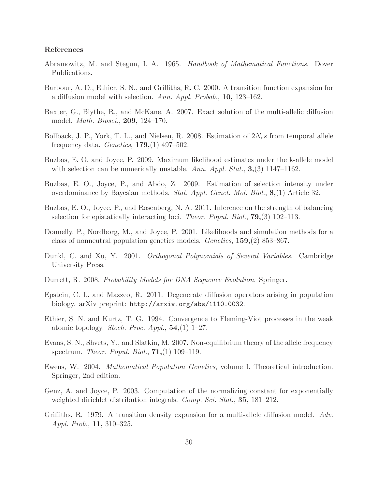## References

- Abramowitz, M. and Stegun, I. A. 1965. Handbook of Mathematical Functions. Dover Publications.
- Barbour, A. D., Ethier, S. N., and Griffiths, R. C. 2000. A transition function expansion for a diffusion model with selection. Ann. Appl. Probab., 10, 123–162.
- Baxter, G., Blythe, R., and McKane, A. 2007. Exact solution of the multi-allelic diffusion model. Math. Biosci., 209, 124–170.
- Bollback, J. P., York, T. L., and Nielsen, R. 2008. Estimation of  $2N_e s$  from temporal allele frequency data. Genetics,  $179, (1)$  497-502.
- Buzbas, E. O. and Joyce, P. 2009. Maximum likelihood estimates under the k-allele model with selection can be numerically unstable. Ann. Appl. Stat.,  $3,(3)$  1147–1162.
- Buzbas, E. O., Joyce, P., and Abdo, Z. 2009. Estimation of selection intensity under overdominance by Bayesian methods. Stat. Appl. Genet. Mol. Biol., 8,(1) Article 32.
- Buzbas, E. O., Joyce, P., and Rosenberg, N. A. 2011. Inference on the strength of balancing selection for epistatically interacting loci. Theor. Popul. Biol.,  $79(3)$  102–113.
- Donnelly, P., Nordborg, M., and Joyce, P. 2001. Likelihoods and simulation methods for a class of nonneutral population genetics models. Genetics, 159,(2) 853–867.
- Dunkl, C. and Xu, Y. 2001. Orthogonal Polynomials of Several Variables. Cambridge University Press.
- Durrett, R. 2008. Probability Models for DNA Sequence Evolution. Springer.
- Epstein, C. L. and Mazzeo, R. 2011. Degenerate diffusion operators arising in population biology. arXiv preprint: http://arxiv.org/abs/1110.0032.
- Ethier, S. N. and Kurtz, T. G. 1994. Convergence to Fleming-Viot processes in the weak atomic topology. Stoch. Proc. Appl.,  $54,(1)$  1–27.
- Evans, S. N., Shvets, Y., and Slatkin, M. 2007. Non-equilibrium theory of the allele frequency spectrum. Theor. Popul. Biol.,  $71,(1)$  109–119.
- Ewens, W. 2004. Mathematical Population Genetics, volume I. Theoretical introduction. Springer, 2nd edition.
- Genz, A. and Joyce, P. 2003. Computation of the normalizing constant for exponentially weighted dirichlet distribution integrals. Comp. Sci. Stat., 35, 181–212.
- Griffiths, R. 1979. A transition density expansion for a multi-allele diffusion model. Adv. Appl. Prob., 11, 310–325.